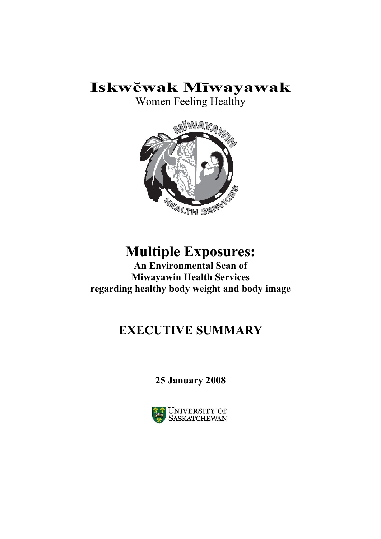## **Iskwĕwak Mīwayawak**

Women Feeling Healthy



# **Multiple Exposures:**

**An Environmental Scan of Miwayawin Health Services regarding healthy body weight and body image** 

## **EXECUTIVE SUMMARY**

## **25 January 2008**

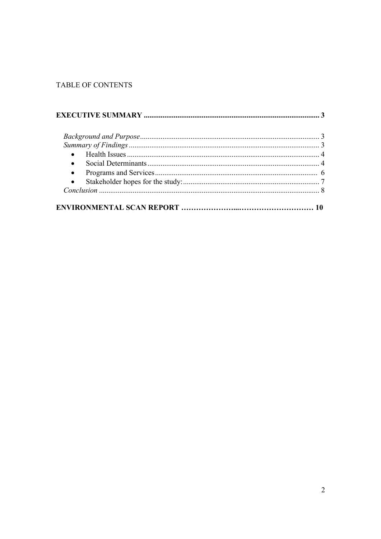## TABLE OF CONTENTS

| $\bullet$ |  |
|-----------|--|
|           |  |
|           |  |
|           |  |
|           |  |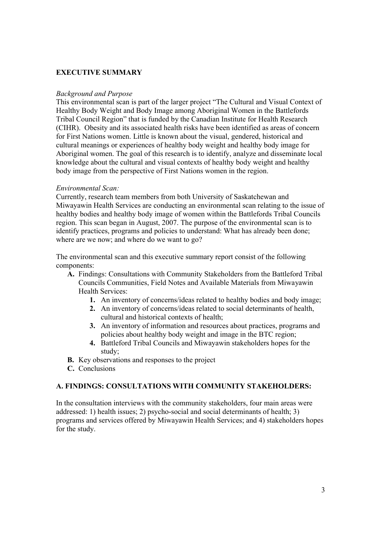## **EXECUTIVE SUMMARY**

#### *Background and Purpose*

This environmental scan is part of the larger project "The Cultural and Visual Context of Healthy Body Weight and Body Image among Aboriginal Women in the Battlefords Tribal Council Region" that is funded by the Canadian Institute for Health Research (CIHR). Obesity and its associated health risks have been identified as areas of concern for First Nations women. Little is known about the visual, gendered, historical and cultural meanings or experiences of healthy body weight and healthy body image for Aboriginal women. The goal of this research is to identify, analyze and disseminate local knowledge about the cultural and visual contexts of healthy body weight and healthy body image from the perspective of First Nations women in the region.

#### *Environmental Scan:*

Currently, research team members from both University of Saskatchewan and Miwayawin Health Services are conducting an environmental scan relating to the issue of healthy bodies and healthy body image of women within the Battlefords Tribal Councils region. This scan began in August, 2007. The purpose of the environmental scan is to identify practices, programs and policies to understand: What has already been done; where are we now; and where do we want to go?

The environmental scan and this executive summary report consist of the following components:

- **A.** Findings: Consultations with Community Stakeholders from the Battleford Tribal Councils Communities, Field Notes and Available Materials from Miwayawin Health Services:
	- **1.** An inventory of concerns/ideas related to healthy bodies and body image;
	- **2.** An inventory of concerns/ideas related to social determinants of health, cultural and historical contexts of health;
	- **3.** An inventory of information and resources about practices, programs and policies about healthy body weight and image in the BTC region;
	- **4.** Battleford Tribal Councils and Miwayawin stakeholders hopes for the study;
- **B.** Key observations and responses to the project
- **C.** Conclusions

## **A. FINDINGS: CONSULTATIONS WITH COMMUNITY STAKEHOLDERS:**

In the consultation interviews with the community stakeholders, four main areas were addressed: 1) health issues; 2) psycho-social and social determinants of health; 3) programs and services offered by Miwayawin Health Services; and 4) stakeholders hopes for the study.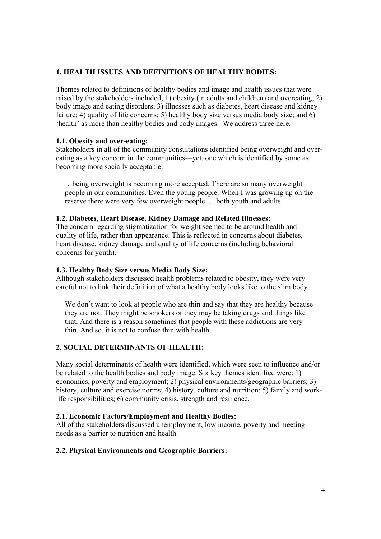## **1. HEALTH ISSUES AND DEFINITIONS OF HEALTHY BODIES:**

Themes related to definitions of healthy bodies and image and health issues that were raised by the stakeholders included; 1) obesity (in adults and children) and overeating; 2) body image and eating disorders; 3) illnesses such as diabetes, heart disease and kidney failure; 4) quality of life concerns; 5) healthy body size versus media body size; and 6) 'health' as more than healthy bodies and body images. We address three here.

## **1.1. Obesity and over-eating:**

Stakeholders in all of the community consultations identified being overweight and overeating as a key concern in the communities—yet, one which is identified by some as becoming more socially acceptable.

…being overweight is becoming more accepted. There are so many overweight people in our communities. Even the young people. When I was growing up on the reserve there were very few overweight people … both youth and adults.

## **1.2. Diabetes, Heart Disease, Kidney Damage and Related Illnesses:**

The concern regarding stigmatization for weight seemed to be around health and quality of life, rather than appearance. This is reflected in concerns about diabetes, heart disease, kidney damage and quality of life concerns (including behavioral concerns for youth).

#### **1.3. Healthy Body Size versus Media Body Size:**

Although stakeholders discussed health problems related to obesity, they were very careful not to link their definition of what a healthy body looks like to the slim body.

We don't want to look at people who are thin and say that they are healthy because they are not. They might be smokers or they may be taking drugs and things like that. And there is a reason sometimes that people with these addictions are very thin. And so, it is not to confuse thin with health.

## **2. SOCIAL DETERMINANTS OF HEALTH:**

Many social determinants of health were identified, which were seen to influence and/or be related to the health bodies and body image. Six key themes identified were: 1) economics, poverty and employment; 2) physical environments/geographic barriers; 3) history, culture and exercise norms; 4) history, culture and nutrition; 5) family and worklife responsibilities; 6) community crisis, strength and resilience.

## **2.1. Economic Factors/Employment and Healthy Bodies:**

All of the stakeholders discussed unemployment, low income, poverty and meeting needs as a barrier to nutrition and health.

## **2.2. Physical Environments and Geographic Barriers:**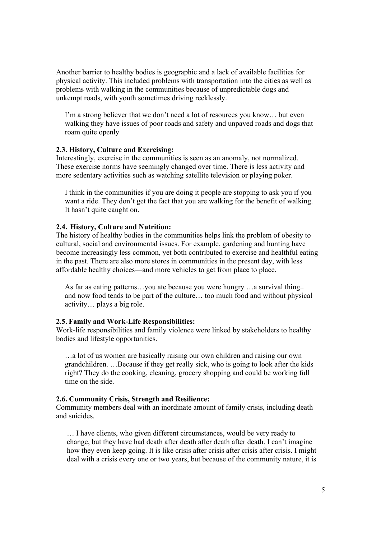Another barrier to healthy bodies is geographic and a lack of available facilities for physical activity. This included problems with transportation into the cities as well as problems with walking in the communities because of unpredictable dogs and unkempt roads, with youth sometimes driving recklessly.

I'm a strong believer that we don't need a lot of resources you know… but even walking they have issues of poor roads and safety and unpaved roads and dogs that roam quite openly

#### **2.3. History, Culture and Exercising:**

Interestingly, exercise in the communities is seen as an anomaly, not normalized. These exercise norms have seemingly changed over time. There is less activity and more sedentary activities such as watching satellite television or playing poker.

I think in the communities if you are doing it people are stopping to ask you if you want a ride. They don't get the fact that you are walking for the benefit of walking. It hasn't quite caught on.

#### **2.4. History, Culture and Nutrition:**

The history of healthy bodies in the communities helps link the problem of obesity to cultural, social and environmental issues. For example, gardening and hunting have become increasingly less common, yet both contributed to exercise and healthful eating in the past. There are also more stores in communities in the present day, with less affordable healthy choices—and more vehicles to get from place to place.

As far as eating patterns…you ate because you were hungry …a survival thing.. and now food tends to be part of the culture… too much food and without physical activity… plays a big role.

#### **2.5. Family and Work-Life Responsibilities:**

Work-life responsibilities and family violence were linked by stakeholders to healthy bodies and lifestyle opportunities.

…a lot of us women are basically raising our own children and raising our own grandchildren. …Because if they get really sick, who is going to look after the kids right? They do the cooking, cleaning, grocery shopping and could be working full time on the side.

#### **2.6. Community Crisis, Strength and Resilience:**

Community members deal with an inordinate amount of family crisis, including death and suicides.

… I have clients, who given different circumstances, would be very ready to change, but they have had death after death after death after death. I can't imagine how they even keep going. It is like crisis after crisis after crisis after crisis. I might deal with a crisis every one or two years, but because of the community nature, it is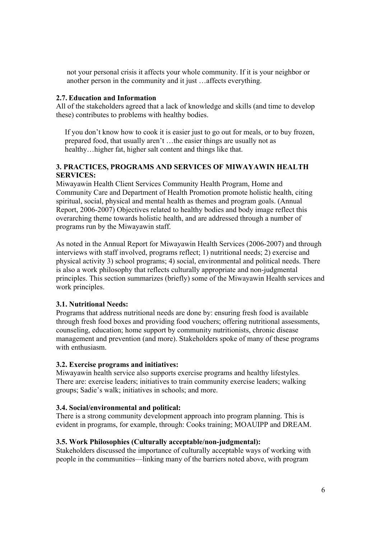not your personal crisis it affects your whole community. If it is your neighbor or another person in the community and it just …affects everything.

### **2.7. Education and Information**

All of the stakeholders agreed that a lack of knowledge and skills (and time to develop these) contributes to problems with healthy bodies.

If you don't know how to cook it is easier just to go out for meals, or to buy frozen, prepared food, that usually aren't …the easier things are usually not as healthy... higher fat, higher salt content and things like that.

## **3. PRACTICES, PROGRAMS AND SERVICES OF MIWAYAWIN HEALTH SERVICES:**

Miwayawin Health Client Services Community Health Program, Home and Community Care and Department of Health Promotion promote holistic health, citing spiritual, social, physical and mental health as themes and program goals. (Annual Report, 2006-2007) Objectives related to healthy bodies and body image reflect this overarching theme towards holistic health, and are addressed through a number of programs run by the Miwayawin staff.

As noted in the Annual Report for Miwayawin Health Services (2006-2007) and through interviews with staff involved, programs reflect; 1) nutritional needs; 2) exercise and physical activity 3) school programs; 4) social, environmental and political needs. There is also a work philosophy that reflects culturally appropriate and non-judgmental principles. This section summarizes (briefly) some of the Miwayawin Health services and work principles.

## **3.1. Nutritional Needs:**

Programs that address nutritional needs are done by: ensuring fresh food is available through fresh food boxes and providing food vouchers; offering nutritional assessments, counseling, education; home support by community nutritionists, chronic disease management and prevention (and more). Stakeholders spoke of many of these programs with enthusiasm.

## **3.2. Exercise programs and initiatives:**

Miwayawin health service also supports exercise programs and healthy lifestyles. There are: exercise leaders; initiatives to train community exercise leaders; walking groups; Sadie's walk; initiatives in schools; and more.

#### **3.4. Social/environmental and political:**

There is a strong community development approach into program planning. This is evident in programs, for example, through: Cooks training; MOAUIPP and DREAM.

## **3.5. Work Philosophies (Culturally acceptable/non-judgmental):**

Stakeholders discussed the importance of culturally acceptable ways of working with people in the communities—linking many of the barriers noted above, with program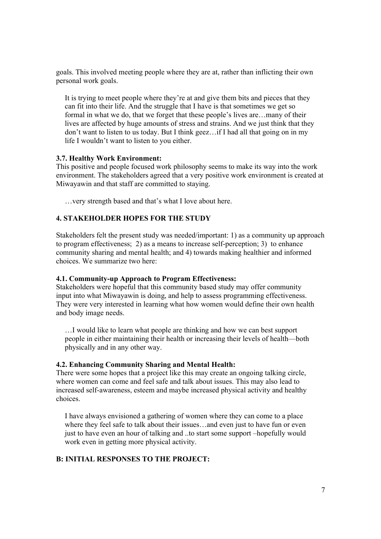goals. This involved meeting people where they are at, rather than inflicting their own personal work goals.

It is trying to meet people where they're at and give them bits and pieces that they can fit into their life. And the struggle that I have is that sometimes we get so formal in what we do, that we forget that these people's lives are…many of their lives are affected by huge amounts of stress and strains. And we just think that they don't want to listen to us today. But I think geez…if I had all that going on in my life I wouldn't want to listen to you either.

#### **3.7. Healthy Work Environment:**

This positive and people focused work philosophy seems to make its way into the work environment. The stakeholders agreed that a very positive work environment is created at Miwayawin and that staff are committed to staying.

…very strength based and that's what I love about here.

## **4. STAKEHOLDER HOPES FOR THE STUDY**

Stakeholders felt the present study was needed/important: 1) as a community up approach to program effectiveness; 2) as a means to increase self-perception; 3) to enhance community sharing and mental health; and 4) towards making healthier and informed choices. We summarize two here:

#### **4.1. Community-up Approach to Program Effectiveness:**

Stakeholders were hopeful that this community based study may offer community input into what Miwayawin is doing, and help to assess programming effectiveness. They were very interested in learning what how women would define their own health and body image needs.

…I would like to learn what people are thinking and how we can best support people in either maintaining their health or increasing their levels of health—both physically and in any other way.

#### **4.2. Enhancing Community Sharing and Mental Health:**

There were some hopes that a project like this may create an ongoing talking circle, where women can come and feel safe and talk about issues. This may also lead to increased self-awareness, esteem and maybe increased physical activity and healthy choices.

I have always envisioned a gathering of women where they can come to a place where they feel safe to talk about their issues...and even just to have fun or even just to have even an hour of talking and ..to start some support –hopefully would work even in getting more physical activity.

## **B: INITIAL RESPONSES TO THE PROJECT:**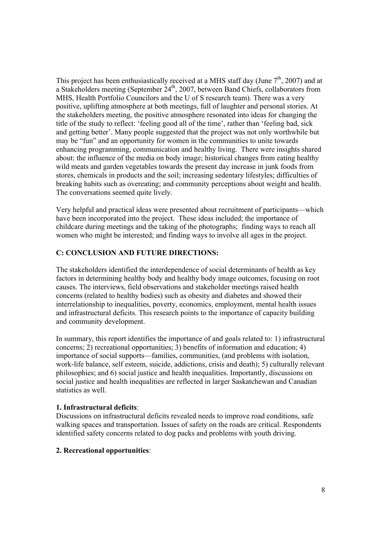This project has been enthusiastically received at a MHS staff day (June  $7<sup>th</sup>$ , 2007) and at a Stakeholders meeting (September 24<sup>th</sup>, 2007, between Band Chiefs, collaborators from MHS, Health Portfolio Councilors and the U of S research team). There was a very positive, uplifting atmosphere at both meetings, full of laughter and personal stories. At the stakeholders meeting, the positive atmosphere resonated into ideas for changing the title of the study to reflect: 'feeling good all of the time', rather than 'feeling bad, sick and getting better'. Many people suggested that the project was not only worthwhile but may be "fun" and an opportunity for women in the communities to unite towards enhancing programming, communication and healthy living. There were insights shared about: the influence of the media on body image; historical changes from eating healthy wild meats and garden vegetables towards the present day increase in junk foods from stores, chemicals in products and the soil; increasing sedentary lifestyles; difficulties of breaking habits such as overeating; and community perceptions about weight and health. The conversations seemed quite lively.

Very helpful and practical ideas were presented about recruitment of participants—which have been incorporated into the project. These ideas included; the importance of childcare during meetings and the taking of the photographs; finding ways to reach all women who might be interested; and finding ways to involve all ages in the project.

## **C: CONCLUSION AND FUTURE DIRECTIONS:**

The stakeholders identified the interdependence of social determinants of health as key factors in determining healthy body and healthy body image outcomes, focusing on root causes. The interviews, field observations and stakeholder meetings raised health concerns (related to healthy bodies) such as obesity and diabetes and showed their interrelationship to inequalities, poverty, economics, employment, mental health issues and infrastructural deficits. This research points to the importance of capacity building and community development.

In summary, this report identifies the importance of and goals related to: 1) infrastructural concerns; 2) recreational opportunities; 3) benefits of information and education; 4) importance of social supports—families, communities, (and problems with isolation, work-life balance, self esteem, suicide, addictions, crisis and death); 5) culturally relevant philosophies; and 6) social justice and health inequalities. Importantly, discussions on social justice and health inequalities are reflected in larger Saskatchewan and Canadian statistics as well.

## **1. Infrastructural deficits**:

Discussions on infrastructural deficits revealed needs to improve road conditions, safe walking spaces and transportation. Issues of safety on the roads are critical. Respondents identified safety concerns related to dog packs and problems with youth driving.

## **2. Recreational opportunities**: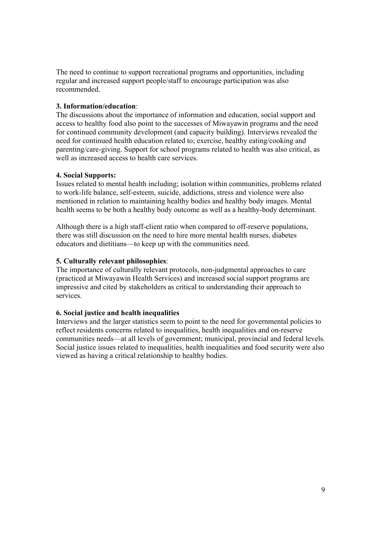The need to continue to support recreational programs and opportunities, including regular and increased support people/staff to encourage participation was also recommended.

## **3. Information/education**:

The discussions about the importance of information and education, social support and access to healthy food also point to the successes of Miwayawin programs and the need for continued community development (and capacity building). Interviews revealed the need for continued health education related to; exercise, healthy eating/cooking and parenting/care-giving. Support for school programs related to health was also critical, as well as increased access to health care services.

## **4. Social Supports:**

Issues related to mental health including; isolation within communities, problems related to work-life balance, self-esteem, suicide, addictions, stress and violence were also mentioned in relation to maintaining healthy bodies and healthy body images. Mental health seems to be both a healthy body outcome as well as a healthy-body determinant.

Although there is a high staff-client ratio when compared to off-reserve populations, there was still discussion on the need to hire more mental health nurses, diabetes educators and dietitians—to keep up with the communities need.

## **5. Culturally relevant philosophies**:

The importance of culturally relevant protocols, non-judgmental approaches to care (practiced at Miwayawin Health Services) and increased social support programs are impressive and cited by stakeholders as critical to understanding their approach to services.

## **6. Social justice and health inequalities**

Interviews and the larger statistics seem to point to the need for governmental policies to reflect residents concerns related to inequalities, health inequalities and on-reserve communities needs—at all levels of government; municipal, provincial and federal levels. Social justice issues related to inequalities, health inequalities and food security were also viewed as having a critical relationship to healthy bodies.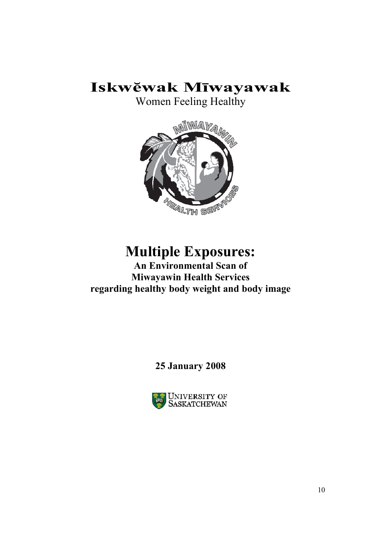# **Iskwĕwak Mīwayawak**

Women Feeling Healthy



# **Multiple Exposures:**

**An Environmental Scan of Miwayawin Health Services regarding healthy body weight and body image** 

**25 January 2008**

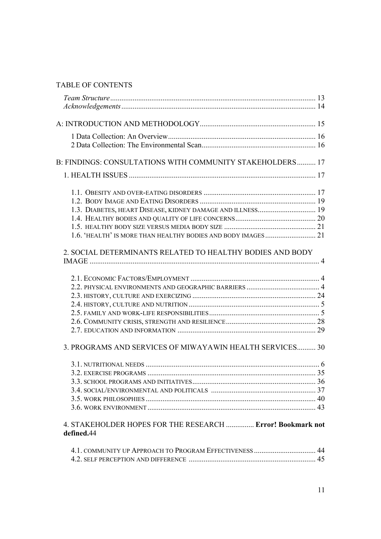## TABLE OF CONTENTS

| B: FINDINGS: CONSULTATIONS WITH COMMUNITY STAKEHOLDERS 17                |  |
|--------------------------------------------------------------------------|--|
|                                                                          |  |
|                                                                          |  |
|                                                                          |  |
| 1.3. DIABETES, HEART DISEASE, KIDNEY DAMAGE AND ILLNESS 19               |  |
|                                                                          |  |
|                                                                          |  |
|                                                                          |  |
| 2. SOCIAL DETERMINANTS RELATED TO HEALTHY BODIES AND BODY                |  |
|                                                                          |  |
|                                                                          |  |
|                                                                          |  |
|                                                                          |  |
|                                                                          |  |
|                                                                          |  |
|                                                                          |  |
|                                                                          |  |
| 3. PROGRAMS AND SERVICES OF MIWAYAWIN HEALTH SERVICES 30                 |  |
|                                                                          |  |
|                                                                          |  |
|                                                                          |  |
|                                                                          |  |
|                                                                          |  |
|                                                                          |  |
| 4. STAKEHOLDER HOPES FOR THE RESEARCH  Error! Bookmark not<br>defined.44 |  |
|                                                                          |  |
|                                                                          |  |
|                                                                          |  |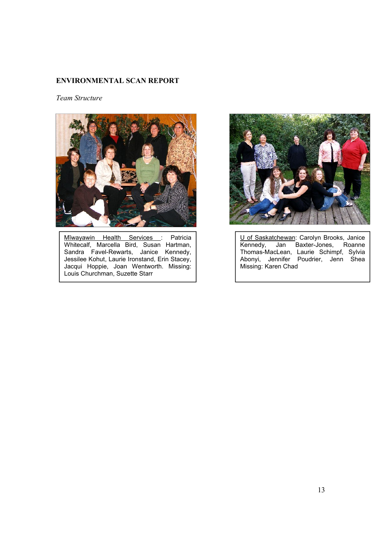## **ENVIRONMENTAL SCAN REPORT**

*Team Structure*



Mīwayawin Health Services : Patricia Whitecalf, Marcella Bird, Susan Hartman, Sandra Favel-Rewarts, Janice Kennedy, Jessilee Kohut, Laurie Ironstand, Erin Stacey, Jacqui Hoppie, Joan Wentworth. Missing: Louis Churchman, Suzette Starr



U of Saskatchewan: Carolyn Brooks, Janice Kennedy, Jan Baxter-Jones, Roanne Thomas-MacLean, Laurie Schimpf, Sylvia Abonyi, Jennifer Poudrier, Jenn Shea Missing: Karen Chad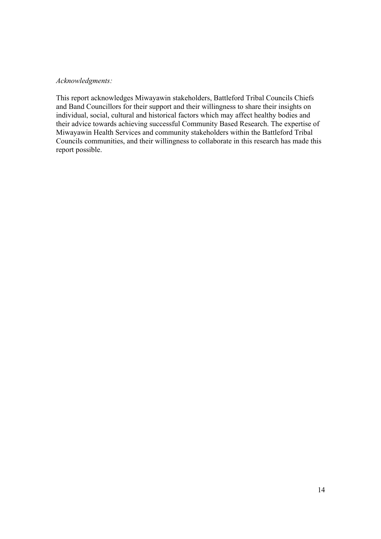### *Acknowledgments:*

This report acknowledges Miwayawin stakeholders, Battleford Tribal Councils Chiefs and Band Councillors for their support and their willingness to share their insights on individual, social, cultural and historical factors which may affect healthy bodies and their advice towards achieving successful Community Based Research. The expertise of Miwayawin Health Services and community stakeholders within the Battleford Tribal Councils communities, and their willingness to collaborate in this research has made this report possible.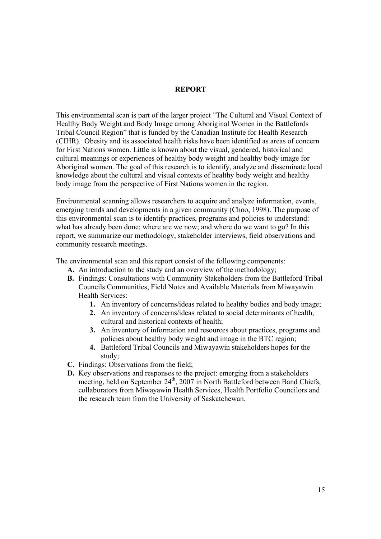#### **REPORT**

This environmental scan is part of the larger project "The Cultural and Visual Context of Healthy Body Weight and Body Image among Aboriginal Women in the Battlefords Tribal Council Region" that is funded by the Canadian Institute for Health Research (CIHR). Obesity and its associated health risks have been identified as areas of concern for First Nations women. Little is known about the visual, gendered, historical and cultural meanings or experiences of healthy body weight and healthy body image for Aboriginal women. The goal of this research is to identify, analyze and disseminate local knowledge about the cultural and visual contexts of healthy body weight and healthy body image from the perspective of First Nations women in the region.

Environmental scanning allows researchers to acquire and analyze information, events, emerging trends and developments in a given community (Choo, 1998). The purpose of this environmental scan is to identify practices, programs and policies to understand: what has already been done; where are we now; and where do we want to go? In this report, we summarize our methodology, stakeholder interviews, field observations and community research meetings.

The environmental scan and this report consist of the following components:

- **A.** An introduction to the study and an overview of the methodology;
- **B.** Findings: Consultations with Community Stakeholders from the Battleford Tribal Councils Communities, Field Notes and Available Materials from Miwayawin Health Services:
	- **1.** An inventory of concerns/ideas related to healthy bodies and body image;
	- **2.** An inventory of concerns/ideas related to social determinants of health, cultural and historical contexts of health;
	- **3.** An inventory of information and resources about practices, programs and policies about healthy body weight and image in the BTC region;
	- **4.** Battleford Tribal Councils and Miwayawin stakeholders hopes for the study;
- **C.** Findings: Observations from the field;
- **D.** Key observations and responses to the project: emerging from a stakeholders meeting, held on September  $24<sup>th</sup>$ , 2007 in North Battleford between Band Chiefs, collaborators from Miwayawin Health Services, Health Portfolio Councilors and the research team from the University of Saskatchewan.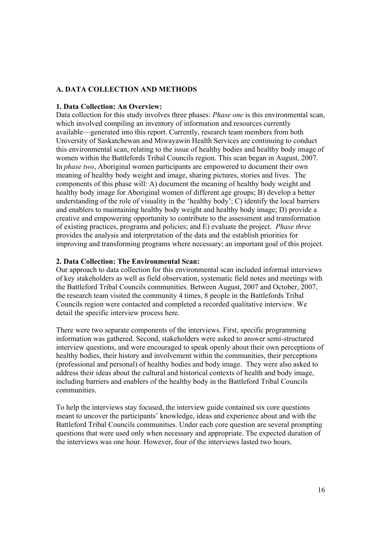## **A. DATA COLLECTION AND METHODS**

#### **1. Data Collection: An Overview:**

Data collection for this study involves three phases: *Phase one* is this environmental scan, which involved compiling an inventory of information and resources currently available—generated into this report. Currently, research team members from both University of Saskatchewan and Miwayawin Health Services are continuing to conduct this environmental scan, relating to the issue of healthy bodies and healthy body image of women within the Battlefords Tribal Councils region. This scan began in August, 2007. In *phase two*, Aboriginal women participants are empowered to document their own meaning of healthy body weight and image, sharing pictures, stories and lives. The components of this phase will: A) document the meaning of healthy body weight and healthy body image for Aboriginal women of different age groups; B) develop a better understanding of the role of visuality in the 'healthy body'; C) identify the local barriers and enablers to maintaining healthy body weight and healthy body image; D) provide a creative and empowering opportunity to contribute to the assessment and transformation of existing practices, programs and policies; and E) evaluate the project. *Phase three* provides the analysis and interpretation of the data and the establish priorities for improving and transforming programs where necessary; an important goal of this project.

#### **2. Data Collection: The Environmental Scan:**

Our approach to data collection for this environmental scan included informal interviews of key stakeholders as well as field observation, systematic field notes and meetings with the Battleford Tribal Councils communities. Between August, 2007 and October, 2007, the research team visited the community 4 times, 8 people in the Battlefords Tribal Councils region were contacted and completed a recorded qualitative interview. We detail the specific interview process here.

There were two separate components of the interviews. First, specific programming information was gathered. Second, stakeholders were asked to answer semi-structured interview questions, and were encouraged to speak openly about their own perceptions of healthy bodies, their history and involvement within the communities, their perceptions (professional and personal) of healthy bodies and body image. They were also asked to address their ideas about the cultural and historical contexts of health and body image, including barriers and enablers of the healthy body in the Battleford Tribal Councils communities.

To help the interviews stay focused, the interview guide contained six core questions meant to uncover the participants' knowledge, ideas and experience about and with the Battleford Tribal Councils communities. Under each core question are several prompting questions that were used only when necessary and appropriate. The expected duration of the interviews was one hour. However, four of the interviews lasted two hours.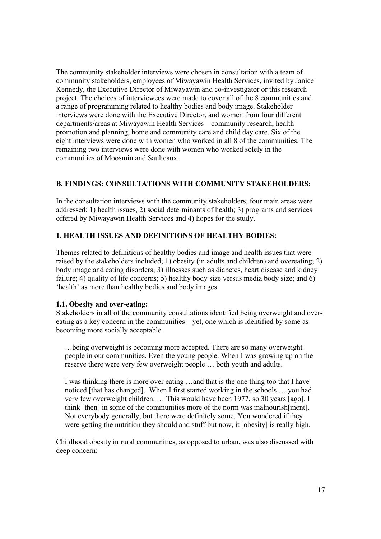The community stakeholder interviews were chosen in consultation with a team of community stakeholders, employees of Miwayawin Health Services, invited by Janice Kennedy, the Executive Director of Miwayawin and co-investigator or this research project. The choices of interviewees were made to cover all of the 8 communities and a range of programming related to healthy bodies and body image. Stakeholder interviews were done with the Executive Director, and women from four different departments/areas at Miwayawin Health Services—community research, health promotion and planning, home and community care and child day care. Six of the eight interviews were done with women who worked in all 8 of the communities. The remaining two interviews were done with women who worked solely in the communities of Moosmin and Saulteaux.

## **B. FINDINGS: CONSULTATIONS WITH COMMUNITY STAKEHOLDERS:**

In the consultation interviews with the community stakeholders, four main areas were addressed: 1) health issues, 2) social determinants of health; 3) programs and services offered by Miwayawin Health Services and 4) hopes for the study.

## **1. HEALTH ISSUES AND DEFINITIONS OF HEALTHY BODIES:**

Themes related to definitions of healthy bodies and image and health issues that were raised by the stakeholders included; 1) obesity (in adults and children) and overeating; 2) body image and eating disorders; 3) illnesses such as diabetes, heart disease and kidney failure; 4) quality of life concerns; 5) healthy body size versus media body size; and 6) 'health' as more than healthy bodies and body images.

#### **1.1. Obesity and over-eating:**

Stakeholders in all of the community consultations identified being overweight and overeating as a key concern in the communities—yet, one which is identified by some as becoming more socially acceptable.

…being overweight is becoming more accepted. There are so many overweight people in our communities. Even the young people. When I was growing up on the reserve there were very few overweight people … both youth and adults.

I was thinking there is more over eating …and that is the one thing too that I have noticed [that has changed]. When I first started working in the schools … you had very few overweight children. … This would have been 1977, so 30 years [ago]. I think [then] in some of the communities more of the norm was malnourish[ment]. Not everybody generally, but there were definitely some. You wondered if they were getting the nutrition they should and stuff but now, it [obesity] is really high.

Childhood obesity in rural communities, as opposed to urban, was also discussed with deep concern: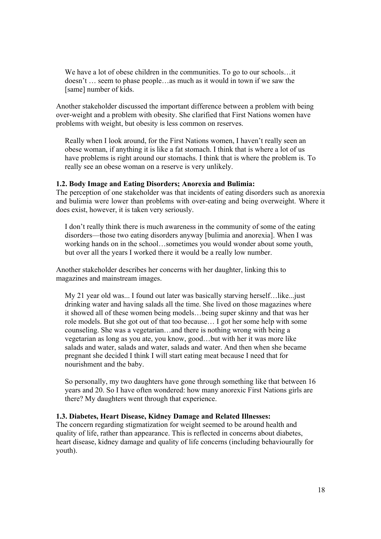We have a lot of obese children in the communities. To go to our schools…it doesn't … seem to phase people…as much as it would in town if we saw the [same] number of kids.

Another stakeholder discussed the important difference between a problem with being over-weight and a problem with obesity. She clarified that First Nations women have problems with weight, but obesity is less common on reserves.

Really when I look around, for the First Nations women, I haven't really seen an obese woman, if anything it is like a fat stomach. I think that is where a lot of us have problems is right around our stomachs. I think that is where the problem is. To really see an obese woman on a reserve is very unlikely.

#### **1.2. Body Image and Eating Disorders; Anorexia and Bulimia:**

The perception of one stakeholder was that incidents of eating disorders such as anorexia and bulimia were lower than problems with over-eating and being overweight. Where it does exist, however, it is taken very seriously.

I don't really think there is much awareness in the community of some of the eating disorders—those two eating disorders anyway [bulimia and anorexia]. When I was working hands on in the school…sometimes you would wonder about some youth, but over all the years I worked there it would be a really low number.

Another stakeholder describes her concerns with her daughter, linking this to magazines and mainstream images.

My 21 year old was... I found out later was basically starving herself…like...just drinking water and having salads all the time. She lived on those magazines where it showed all of these women being models…being super skinny and that was her role models. But she got out of that too because… I got her some help with some counseling. She was a vegetarian…and there is nothing wrong with being a vegetarian as long as you ate, you know, good…but with her it was more like salads and water, salads and water, salads and water. And then when she became pregnant she decided I think I will start eating meat because I need that for nourishment and the baby.

So personally, my two daughters have gone through something like that between 16 years and 20. So I have often wondered: how many anorexic First Nations girls are there? My daughters went through that experience.

#### **1.3. Diabetes, Heart Disease, Kidney Damage and Related Illnesses:**

The concern regarding stigmatization for weight seemed to be around health and quality of life, rather than appearance. This is reflected in concerns about diabetes, heart disease, kidney damage and quality of life concerns (including behaviourally for youth).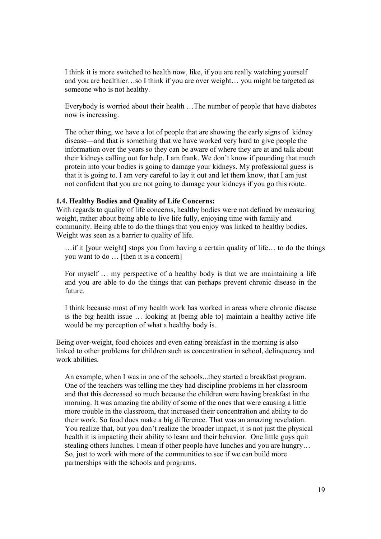I think it is more switched to health now, like, if you are really watching yourself and you are healthier…so I think if you are over weight… you might be targeted as someone who is not healthy.

Everybody is worried about their health …The number of people that have diabetes now is increasing.

The other thing, we have a lot of people that are showing the early signs of kidney disease—and that is something that we have worked very hard to give people the information over the years so they can be aware of where they are at and talk about their kidneys calling out for help. I am frank. We don't know if pounding that much protein into your bodies is going to damage your kidneys. My professional guess is that it is going to. I am very careful to lay it out and let them know, that I am just not confident that you are not going to damage your kidneys if you go this route.

#### **1.4. Healthy Bodies and Quality of Life Concerns:**

With regards to quality of life concerns, healthy bodies were not defined by measuring weight, rather about being able to live life fully, enjoying time with family and community. Being able to do the things that you enjoy was linked to healthy bodies. Weight was seen as a barrier to quality of life.

…if it [your weight] stops you from having a certain quality of life… to do the things you want to do … [then it is a concern]

For myself … my perspective of a healthy body is that we are maintaining a life and you are able to do the things that can perhaps prevent chronic disease in the future.

I think because most of my health work has worked in areas where chronic disease is the big health issue … looking at [being able to] maintain a healthy active life would be my perception of what a healthy body is.

Being over-weight, food choices and even eating breakfast in the morning is also linked to other problems for children such as concentration in school, delinquency and work abilities.

An example, when I was in one of the schools...they started a breakfast program. One of the teachers was telling me they had discipline problems in her classroom and that this decreased so much because the children were having breakfast in the morning. It was amazing the ability of some of the ones that were causing a little more trouble in the classroom, that increased their concentration and ability to do their work. So food does make a big difference. That was an amazing revelation. You realize that, but you don't realize the broader impact, it is not just the physical health it is impacting their ability to learn and their behavior. One little guys quit stealing others lunches. I mean if other people have lunches and you are hungry… So, just to work with more of the communities to see if we can build more partnerships with the schools and programs.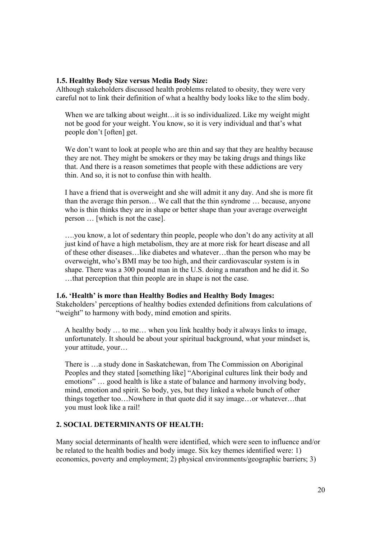#### **1.5. Healthy Body Size versus Media Body Size:**

Although stakeholders discussed health problems related to obesity, they were very careful not to link their definition of what a healthy body looks like to the slim body.

When we are talking about weight... it is so individualized. Like my weight might not be good for your weight. You know, so it is very individual and that's what people don't [often] get.

We don't want to look at people who are thin and say that they are healthy because they are not. They might be smokers or they may be taking drugs and things like that. And there is a reason sometimes that people with these addictions are very thin. And so, it is not to confuse thin with health.

I have a friend that is overweight and she will admit it any day. And she is more fit than the average thin person… We call that the thin syndrome … because, anyone who is thin thinks they are in shape or better shape than your average overweight person … [which is not the case].

….you know, a lot of sedentary thin people, people who don't do any activity at all just kind of have a high metabolism, they are at more risk for heart disease and all of these other diseases…like diabetes and whatever…than the person who may be overweight, who's BMI may be too high, and their cardiovascular system is in shape. There was a 300 pound man in the U.S. doing a marathon and he did it. So …that perception that thin people are in shape is not the case.

## **1.6. 'Health' is more than Healthy Bodies and Healthy Body Images:**

Stakeholders' perceptions of healthy bodies extended definitions from calculations of "weight" to harmony with body, mind emotion and spirits.

A healthy body … to me… when you link healthy body it always links to image, unfortunately. It should be about your spiritual background, what your mindset is, your attitude, your…

There is …a study done in Saskatchewan, from The Commission on Aboriginal Peoples and they stated [something like] "Aboriginal cultures link their body and emotions" … good health is like a state of balance and harmony involving body, mind, emotion and spirit. So body, yes, but they linked a whole bunch of other things together too…Nowhere in that quote did it say image…or whatever…that you must look like a rail!

## **2. SOCIAL DETERMINANTS OF HEALTH:**

Many social determinants of health were identified, which were seen to influence and/or be related to the health bodies and body image. Six key themes identified were: 1) economics, poverty and employment; 2) physical environments/geographic barriers; 3)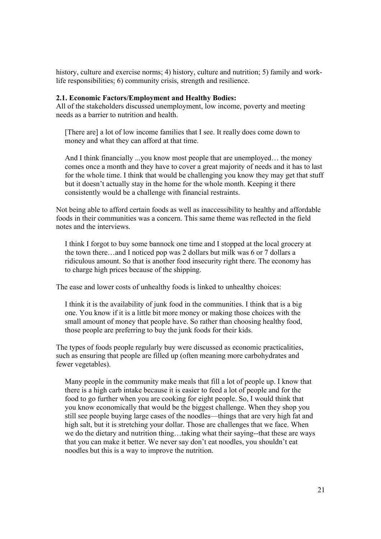history, culture and exercise norms; 4) history, culture and nutrition; 5) family and worklife responsibilities; 6) community crisis, strength and resilience.

#### **2.1. Economic Factors/Employment and Healthy Bodies:**

All of the stakeholders discussed unemployment, low income, poverty and meeting needs as a barrier to nutrition and health.

[There are] a lot of low income families that I see. It really does come down to money and what they can afford at that time.

And I think financially ...you know most people that are unemployed… the money comes once a month and they have to cover a great majority of needs and it has to last for the whole time. I think that would be challenging you know they may get that stuff but it doesn't actually stay in the home for the whole month. Keeping it there consistently would be a challenge with financial restraints.

Not being able to afford certain foods as well as inaccessibility to healthy and affordable foods in their communities was a concern. This same theme was reflected in the field notes and the interviews.

I think I forgot to buy some bannock one time and I stopped at the local grocery at the town there…and I noticed pop was 2 dollars but milk was 6 or 7 dollars a ridiculous amount. So that is another food insecurity right there. The economy has to charge high prices because of the shipping.

The ease and lower costs of unhealthy foods is linked to unhealthy choices:

I think it is the availability of junk food in the communities. I think that is a big one. You know if it is a little bit more money or making those choices with the small amount of money that people have. So rather than choosing healthy food, those people are preferring to buy the junk foods for their kids.

The types of foods people regularly buy were discussed as economic practicalities, such as ensuring that people are filled up (often meaning more carbohydrates and fewer vegetables).

Many people in the community make meals that fill a lot of people up. I know that there is a high carb intake because it is easier to feed a lot of people and for the food to go further when you are cooking for eight people. So, I would think that you know economically that would be the biggest challenge. When they shop you still see people buying large cases of the noodles—things that are very high fat and high salt, but it is stretching your dollar. Those are challenges that we face. When we do the dietary and nutrition thing…taking what their saying--that these are ways that you can make it better. We never say don't eat noodles, you shouldn't eat noodles but this is a way to improve the nutrition.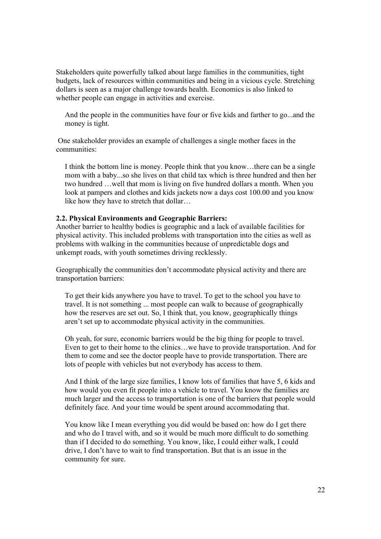Stakeholders quite powerfully talked about large families in the communities, tight budgets, lack of resources within communities and being in a vicious cycle. Stretching dollars is seen as a major challenge towards health. Economics is also linked to whether people can engage in activities and exercise.

And the people in the communities have four or five kids and farther to go...and the money is tight.

 One stakeholder provides an example of challenges a single mother faces in the communities:

I think the bottom line is money. People think that you know…there can be a single mom with a baby...so she lives on that child tax which is three hundred and then her two hundred …well that mom is living on five hundred dollars a month. When you look at pampers and clothes and kids jackets now a days cost 100.00 and you know like how they have to stretch that dollar…

#### **2.2. Physical Environments and Geographic Barriers:**

Another barrier to healthy bodies is geographic and a lack of available facilities for physical activity. This included problems with transportation into the cities as well as problems with walking in the communities because of unpredictable dogs and unkempt roads, with youth sometimes driving recklessly.

Geographically the communities don't accommodate physical activity and there are transportation barriers:

To get their kids anywhere you have to travel. To get to the school you have to travel. It is not something ... most people can walk to because of geographically how the reserves are set out. So, I think that, you know, geographically things aren't set up to accommodate physical activity in the communities.

Oh yeah, for sure, economic barriers would be the big thing for people to travel. Even to get to their home to the clinics…we have to provide transportation. And for them to come and see the doctor people have to provide transportation. There are lots of people with vehicles but not everybody has access to them.

And I think of the large size families, I know lots of families that have 5, 6 kids and how would you even fit people into a vehicle to travel. You know the families are much larger and the access to transportation is one of the barriers that people would definitely face. And your time would be spent around accommodating that.

You know like I mean everything you did would be based on: how do I get there and who do I travel with, and so it would be much more difficult to do something than if I decided to do something. You know, like, I could either walk, I could drive, I don't have to wait to find transportation. But that is an issue in the community for sure.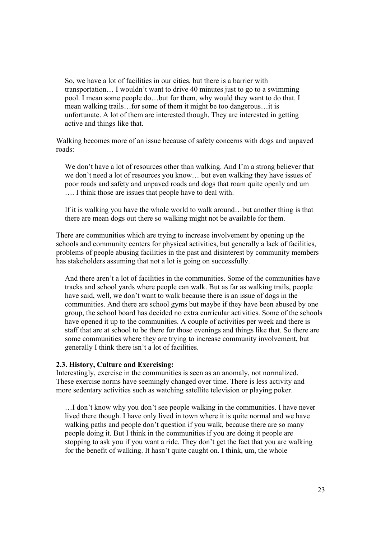So, we have a lot of facilities in our cities, but there is a barrier with transportation… I wouldn't want to drive 40 minutes just to go to a swimming pool. I mean some people do…but for them, why would they want to do that. I mean walking trails…for some of them it might be too dangerous…it is unfortunate. A lot of them are interested though. They are interested in getting active and things like that.

Walking becomes more of an issue because of safety concerns with dogs and unpaved roads:

We don't have a lot of resources other than walking. And I'm a strong believer that we don't need a lot of resources you know… but even walking they have issues of poor roads and safety and unpaved roads and dogs that roam quite openly and um …. I think those are issues that people have to deal with.

If it is walking you have the whole world to walk around…but another thing is that there are mean dogs out there so walking might not be available for them.

There are communities which are trying to increase involvement by opening up the schools and community centers for physical activities, but generally a lack of facilities, problems of people abusing facilities in the past and disinterest by community members has stakeholders assuming that not a lot is going on successfully.

And there aren't a lot of facilities in the communities. Some of the communities have tracks and school yards where people can walk. But as far as walking trails, people have said, well, we don't want to walk because there is an issue of dogs in the communities. And there are school gyms but maybe if they have been abused by one group, the school board has decided no extra curricular activities. Some of the schools have opened it up to the communities. A couple of activities per week and there is staff that are at school to be there for those evenings and things like that. So there are some communities where they are trying to increase community involvement, but generally I think there isn't a lot of facilities.

#### **2.3. History, Culture and Exercising:**

Interestingly, exercise in the communities is seen as an anomaly, not normalized. These exercise norms have seemingly changed over time. There is less activity and more sedentary activities such as watching satellite television or playing poker.

…I don't know why you don't see people walking in the communities. I have never lived there though. I have only lived in town where it is quite normal and we have walking paths and people don't question if you walk, because there are so many people doing it. But I think in the communities if you are doing it people are stopping to ask you if you want a ride. They don't get the fact that you are walking for the benefit of walking. It hasn't quite caught on. I think, um, the whole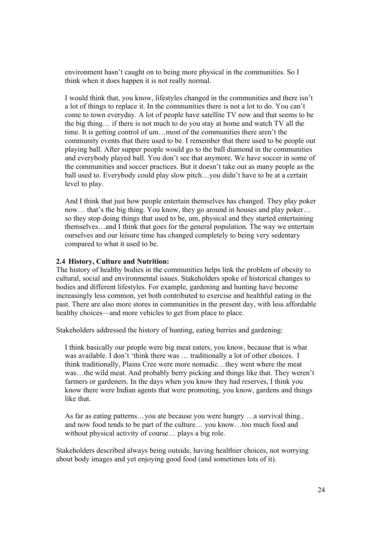environment hasn't caught on to being more physical in the communities. So I think when it does happen it is not really normal.

I would think that, you know, lifestyles changed in the communities and there isn't a lot of things to replace it. In the communities there is not a lot to do. You can't come to town everyday. A lot of people have satellite TV now and that seems to be the big thing… if there is not much to do you stay at home and watch TV all the time. It is getting control of um…most of the communities there aren't the community events that there used to be. I remember that there used to be people out playing ball. After supper people would go to the ball diamond in the communities and everybody played ball. You don't see that anymore. We have soccer in some of the communities and soccer practices. But it doesn't take out as many people as the ball used to. Everybody could play slow pitch…you didn't have to be at a certain level to play.

And I think that just how people entertain themselves has changed. They play poker now… that's the big thing. You know, they go around in houses and play poker… so they stop doing things that used to be, um, physical and they started entertaining themselves…and I think that goes for the general population. The way we entertain ourselves and our leisure time has changed completely to being very sedentary compared to what it used to be.

#### **2.4 History, Culture and Nutrition:**

The history of healthy bodies in the communities helps link the problem of obesity to cultural, social and environmental issues. Stakeholders spoke of historical changes to bodies and different lifestyles. For example, gardening and hunting have become increasingly less common, yet both contributed to exercise and healthful eating in the past. There are also more stores in communities in the present day, with less affordable healthy choices—and more vehicles to get from place to place.

Stakeholders addressed the history of hunting, eating berries and gardening:

I think basically our people were big meat eaters, you know, because that is what was available. I don't 'think there was ... traditionally a lot of other choices. I think traditionally, Plains Cree were more nomadic…they went where the meat was…the wild meat. And probably berry picking and things like that. They weren't farmers or gardeners. In the days when you know they had reserves, I think you know there were Indian agents that were promoting, you know, gardens and things like that.

As far as eating patterns…you ate because you were hungry …a survival thing.. and now food tends to be part of the culture… you know…too much food and without physical activity of course… plays a big role.

Stakeholders described always being outside, having healthier choices, not worrying about body images and yet enjoying good food (and sometimes lots of it).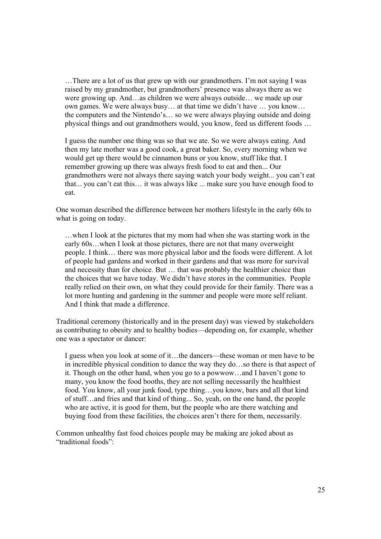…There are a lot of us that grew up with our grandmothers. I'm not saying I was raised by my grandmother, but grandmothers' presence was always there as we were growing up. And…as children we were always outside… we made up our own games. We were always busy… at that time we didn't have … you know… the computers and the Nintendo's… so we were always playing outside and doing physical things and out grandmothers would, you know, feed us different foods …

I guess the number one thing was so that we ate. So we were always eating. And then my late mother was a good cook, a great baker. So, every morning when we would get up there would be cinnamon buns or you know, stuff like that. I remember growing up there was always fresh food to eat and then... Our grandmothers were not always there saying watch your body weight... you can't eat that... you can't eat this… it was always like ... make sure you have enough food to eat.

One woman described the difference between her mothers lifestyle in the early 60s to what is going on today.

…when I look at the pictures that my mom had when she was starting work in the early 60s…when I look at those pictures, there are not that many overweight people. I think… there was more physical labor and the foods were different. A lot of people had gardens and worked in their gardens and that was more for survival and necessity than for choice. But … that was probably the healthier choice than the choices that we have today. We didn't have stores in the communities. People really relied on their own, on what they could provide for their family. There was a lot more hunting and gardening in the summer and people were more self reliant. And I think that made a difference.

Traditional ceremony (historically and in the present day) was viewed by stakeholders as contributing to obesity and to healthy bodies—depending on, for example, whether one was a spectator or dancer:

I guess when you look at some of it…the dancers—these woman or men have to be in incredible physical condition to dance the way they do…so there is that aspect of it. Though on the other hand, when you go to a powwow…and I haven't gone to many, you know the food booths, they are not selling necessarily the healthiest food. You know, all your junk food, type thing…you know, bars and all that kind of stuff…and fries and that kind of thing... So, yeah, on the one hand, the people who are active, it is good for them, but the people who are there watching and buying food from these facilities, the choices aren't there for them, necessarily.

Common unhealthy fast food choices people may be making are joked about as "traditional foods":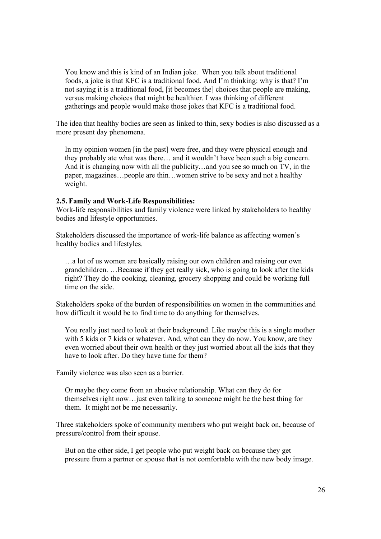You know and this is kind of an Indian joke. When you talk about traditional foods, a joke is that KFC is a traditional food. And I'm thinking: why is that? I'm not saying it is a traditional food, [it becomes the] choices that people are making, versus making choices that might be healthier. I was thinking of different gatherings and people would make those jokes that KFC is a traditional food.

The idea that healthy bodies are seen as linked to thin, sexy bodies is also discussed as a more present day phenomena.

In my opinion women [in the past] were free, and they were physical enough and they probably ate what was there… and it wouldn't have been such a big concern. And it is changing now with all the publicity…and you see so much on TV, in the paper, magazines…people are thin…women strive to be sexy and not a healthy weight.

#### **2.5. Family and Work-Life Responsibilities:**

Work-life responsibilities and family violence were linked by stakeholders to healthy bodies and lifestyle opportunities.

Stakeholders discussed the importance of work-life balance as affecting women's healthy bodies and lifestyles.

…a lot of us women are basically raising our own children and raising our own grandchildren. …Because if they get really sick, who is going to look after the kids right? They do the cooking, cleaning, grocery shopping and could be working full time on the side.

Stakeholders spoke of the burden of responsibilities on women in the communities and how difficult it would be to find time to do anything for themselves.

You really just need to look at their background. Like maybe this is a single mother with 5 kids or 7 kids or whatever. And, what can they do now. You know, are they even worried about their own health or they just worried about all the kids that they have to look after. Do they have time for them?

Family violence was also seen as a barrier.

Or maybe they come from an abusive relationship. What can they do for themselves right now…just even talking to someone might be the best thing for them. It might not be me necessarily.

Three stakeholders spoke of community members who put weight back on, because of pressure/control from their spouse.

But on the other side, I get people who put weight back on because they get pressure from a partner or spouse that is not comfortable with the new body image.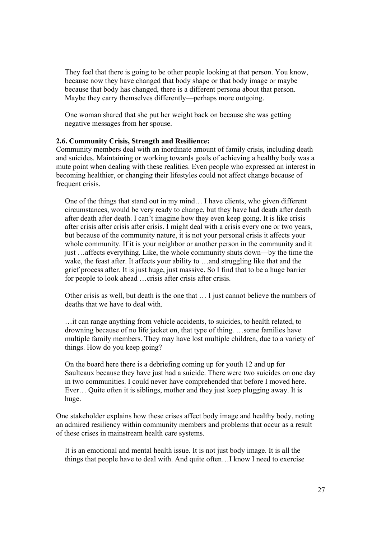They feel that there is going to be other people looking at that person. You know, because now they have changed that body shape or that body image or maybe because that body has changed, there is a different persona about that person. Maybe they carry themselves differently—perhaps more outgoing.

One woman shared that she put her weight back on because she was getting negative messages from her spouse.

#### **2.6. Community Crisis, Strength and Resilience:**

Community members deal with an inordinate amount of family crisis, including death and suicides. Maintaining or working towards goals of achieving a healthy body was a mute point when dealing with these realities. Even people who expressed an interest in becoming healthier, or changing their lifestyles could not affect change because of frequent crisis.

One of the things that stand out in my mind… I have clients, who given different circumstances, would be very ready to change, but they have had death after death after death after death. I can't imagine how they even keep going. It is like crisis after crisis after crisis after crisis. I might deal with a crisis every one or two years, but because of the community nature, it is not your personal crisis it affects your whole community. If it is your neighbor or another person in the community and it just …affects everything. Like, the whole community shuts down—by the time the wake, the feast after. It affects your ability to ...and struggling like that and the grief process after. It is just huge, just massive. So I find that to be a huge barrier for people to look ahead …crisis after crisis after crisis.

Other crisis as well, but death is the one that … I just cannot believe the numbers of deaths that we have to deal with.

…it can range anything from vehicle accidents, to suicides, to health related, to drowning because of no life jacket on, that type of thing. …some families have multiple family members. They may have lost multiple children, due to a variety of things. How do you keep going?

On the board here there is a debriefing coming up for youth 12 and up for Saulteaux because they have just had a suicide. There were two suicides on one day in two communities. I could never have comprehended that before I moved here. Ever… Quite often it is siblings, mother and they just keep plugging away. It is huge.

One stakeholder explains how these crises affect body image and healthy body, noting an admired resiliency within community members and problems that occur as a result of these crises in mainstream health care systems.

It is an emotional and mental health issue. It is not just body image. It is all the things that people have to deal with. And quite often…I know I need to exercise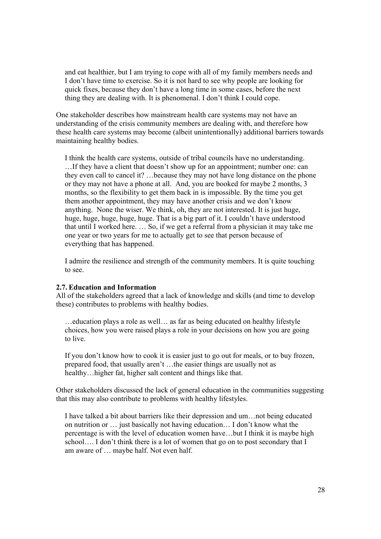and eat healthier, but I am trying to cope with all of my family members needs and I don't have time to exercise. So it is not hard to see why people are looking for quick fixes, because they don't have a long time in some cases, before the next thing they are dealing with. It is phenomenal. I don't think I could cope.

One stakeholder describes how mainstream health care systems may not have an understanding of the crisis community members are dealing with, and therefore how these health care systems may become (albeit unintentionally) additional barriers towards maintaining healthy bodies.

I think the health care systems, outside of tribal councils have no understanding. …If they have a client that doesn't show up for an appointment; number one: can they even call to cancel it? …because they may not have long distance on the phone or they may not have a phone at all. And, you are booked for maybe 2 months, 3 months, so the flexibility to get them back in is impossible. By the time you get them another appointment, they may have another crisis and we don't know anything. None the wiser. We think, oh, they are not interested. It is just huge, huge, huge, huge, huge, huge. That is a big part of it. I couldn't have understood that until I worked here. … So, if we get a referral from a physician it may take me one year or two years for me to actually get to see that person because of everything that has happened.

I admire the resilience and strength of the community members. It is quite touching to see.

#### **2.7. Education and Information**

All of the stakeholders agreed that a lack of knowledge and skills (and time to develop these) contributes to problems with healthy bodies.

…education plays a role as well… as far as being educated on healthy lifestyle choices, how you were raised plays a role in your decisions on how you are going to live.

If you don't know how to cook it is easier just to go out for meals, or to buy frozen, prepared food, that usually aren't …the easier things are usually not as healthy... higher fat, higher salt content and things like that.

Other stakeholders discussed the lack of general education in the communities suggesting that this may also contribute to problems with healthy lifestyles.

I have talked a bit about barriers like their depression and um…not being educated on nutrition or … just basically not having education… I don't know what the percentage is with the level of education women have…but I think it is maybe high school…. I don't think there is a lot of women that go on to post secondary that I am aware of … maybe half. Not even half.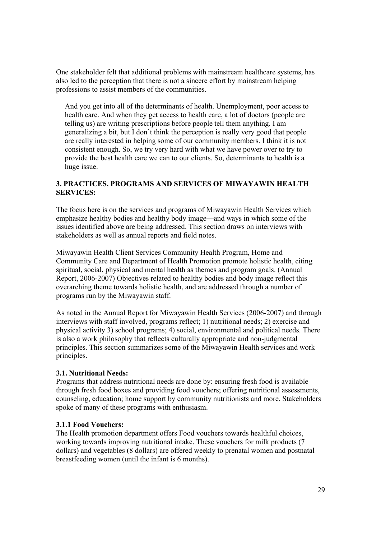One stakeholder felt that additional problems with mainstream healthcare systems, has also led to the perception that there is not a sincere effort by mainstream helping professions to assist members of the communities.

And you get into all of the determinants of health. Unemployment, poor access to health care. And when they get access to health care, a lot of doctors (people are telling us) are writing prescriptions before people tell them anything. I am generalizing a bit, but I don't think the perception is really very good that people are really interested in helping some of our community members. I think it is not consistent enough. So, we try very hard with what we have power over to try to provide the best health care we can to our clients. So, determinants to health is a huge issue.

## **3. PRACTICES, PROGRAMS AND SERVICES OF MIWAYAWIN HEALTH SERVICES:**

The focus here is on the services and programs of Miwayawin Health Services which emphasize healthy bodies and healthy body image—and ways in which some of the issues identified above are being addressed. This section draws on interviews with stakeholders as well as annual reports and field notes.

Miwayawin Health Client Services Community Health Program, Home and Community Care and Department of Health Promotion promote holistic health, citing spiritual, social, physical and mental health as themes and program goals. (Annual Report, 2006-2007) Objectives related to healthy bodies and body image reflect this overarching theme towards holistic health, and are addressed through a number of programs run by the Miwayawin staff.

As noted in the Annual Report for Miwayawin Health Services (2006-2007) and through interviews with staff involved, programs reflect; 1) nutritional needs; 2) exercise and physical activity 3) school programs; 4) social, environmental and political needs. There is also a work philosophy that reflects culturally appropriate and non-judgmental principles. This section summarizes some of the Miwayawin Health services and work principles.

## **3.1. Nutritional Needs:**

Programs that address nutritional needs are done by: ensuring fresh food is available through fresh food boxes and providing food vouchers; offering nutritional assessments, counseling, education; home support by community nutritionists and more. Stakeholders spoke of many of these programs with enthusiasm.

## **3.1.1 Food Vouchers:**

The Health promotion department offers Food vouchers towards healthful choices, working towards improving nutritional intake. These vouchers for milk products (7 dollars) and vegetables (8 dollars) are offered weekly to prenatal women and postnatal breastfeeding women (until the infant is 6 months).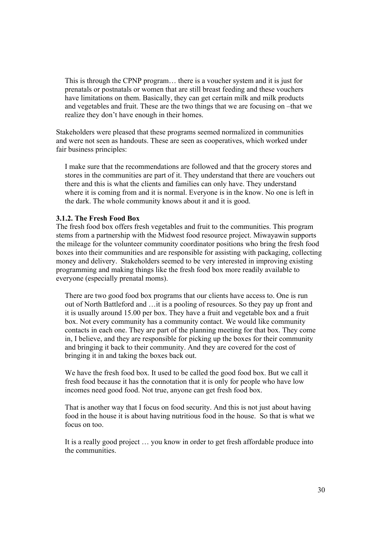This is through the CPNP program… there is a voucher system and it is just for prenatals or postnatals or women that are still breast feeding and these vouchers have limitations on them. Basically, they can get certain milk and milk products and vegetables and fruit. These are the two things that we are focusing on –that we realize they don't have enough in their homes.

Stakeholders were pleased that these programs seemed normalized in communities and were not seen as handouts. These are seen as cooperatives, which worked under fair business principles:

I make sure that the recommendations are followed and that the grocery stores and stores in the communities are part of it. They understand that there are vouchers out there and this is what the clients and families can only have. They understand where it is coming from and it is normal. Everyone is in the know. No one is left in the dark. The whole community knows about it and it is good.

#### **3.1.2. The Fresh Food Box**

The fresh food box offers fresh vegetables and fruit to the communities. This program stems from a partnership with the Midwest food resource project. Miwayawin supports the mileage for the volunteer community coordinator positions who bring the fresh food boxes into their communities and are responsible for assisting with packaging, collecting money and delivery. Stakeholders seemed to be very interested in improving existing programming and making things like the fresh food box more readily available to everyone (especially prenatal moms).

There are two good food box programs that our clients have access to. One is run out of North Battleford and …it is a pooling of resources. So they pay up front and it is usually around 15.00 per box. They have a fruit and vegetable box and a fruit box. Not every community has a community contact. We would like community contacts in each one. They are part of the planning meeting for that box. They come in, I believe, and they are responsible for picking up the boxes for their community and bringing it back to their community. And they are covered for the cost of bringing it in and taking the boxes back out.

We have the fresh food box. It used to be called the good food box. But we call it fresh food because it has the connotation that it is only for people who have low incomes need good food. Not true, anyone can get fresh food box.

That is another way that I focus on food security. And this is not just about having food in the house it is about having nutritious food in the house. So that is what we focus on too.

It is a really good project … you know in order to get fresh affordable produce into the communities.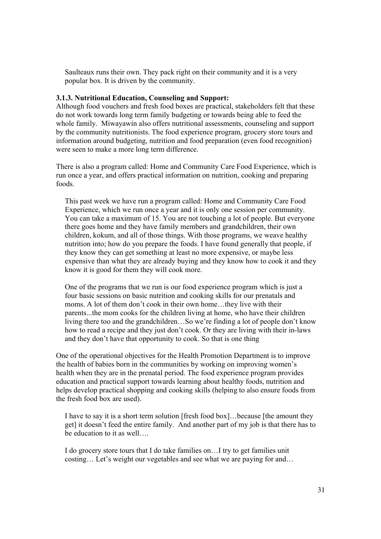Saulteaux runs their own. They pack right on their community and it is a very popular box. It is driven by the community.

#### **3.1.3. Nutritional Education, Counseling and Support:**

Although food vouchers and fresh food boxes are practical, stakeholders felt that these do not work towards long term family budgeting or towards being able to feed the whole family. Miwayawin also offers nutritional assessments, counseling and support by the community nutritionists. The food experience program, grocery store tours and information around budgeting, nutrition and food preparation (even food recognition) were seen to make a more long term difference.

There is also a program called: Home and Community Care Food Experience, which is run once a year, and offers practical information on nutrition, cooking and preparing foods.

This past week we have run a program called: Home and Community Care Food Experience, which we run once a year and it is only one session per community. You can take a maximum of 15. You are not touching a lot of people. But everyone there goes home and they have family members and grandchildren, their own children, kokum, and all of those things. With those programs, we weave healthy nutrition into; how do you prepare the foods. I have found generally that people, if they know they can get something at least no more expensive, or maybe less expensive than what they are already buying and they know how to cook it and they know it is good for them they will cook more.

One of the programs that we run is our food experience program which is just a four basic sessions on basic nutrition and cooking skills for our prenatals and moms. A lot of them don't cook in their own home…they live with their parents...the mom cooks for the children living at home, who have their children living there too and the grandchildren…So we're finding a lot of people don't know how to read a recipe and they just don't cook. Or they are living with their in-laws and they don't have that opportunity to cook. So that is one thing

One of the operational objectives for the Health Promotion Department is to improve the health of babies born in the communities by working on improving women's health when they are in the prenatal period. The food experience program provides education and practical support towards learning about healthy foods, nutrition and helps develop practical shopping and cooking skills (helping to also ensure foods from the fresh food box are used).

I have to say it is a short term solution [fresh food box]…because [the amount they get] it doesn't feed the entire family. And another part of my job is that there has to be education to it as well….

I do grocery store tours that I do take families on…I try to get families unit costing… Let's weight our vegetables and see what we are paying for and…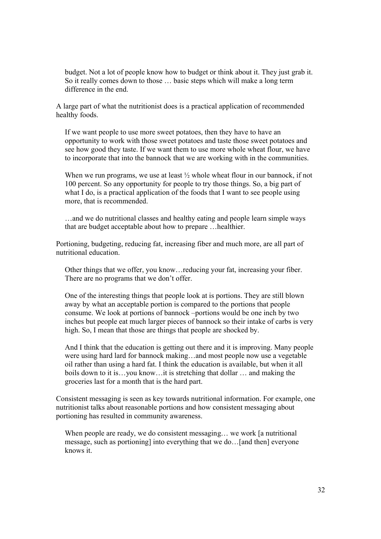budget. Not a lot of people know how to budget or think about it. They just grab it. So it really comes down to those … basic steps which will make a long term difference in the end.

A large part of what the nutritionist does is a practical application of recommended healthy foods.

If we want people to use more sweet potatoes, then they have to have an opportunity to work with those sweet potatoes and taste those sweet potatoes and see how good they taste. If we want them to use more whole wheat flour, we have to incorporate that into the bannock that we are working with in the communities.

When we run programs, we use at least  $\frac{1}{2}$  whole wheat flour in our bannock, if not 100 percent. So any opportunity for people to try those things. So, a big part of what I do, is a practical application of the foods that I want to see people using more, that is recommended.

…and we do nutritional classes and healthy eating and people learn simple ways that are budget acceptable about how to prepare …healthier.

Portioning, budgeting, reducing fat, increasing fiber and much more, are all part of nutritional education.

Other things that we offer, you know…reducing your fat, increasing your fiber. There are no programs that we don't offer.

One of the interesting things that people look at is portions. They are still blown away by what an acceptable portion is compared to the portions that people consume. We look at portions of bannock –portions would be one inch by two inches but people eat much larger pieces of bannock so their intake of carbs is very high. So, I mean that those are things that people are shocked by.

And I think that the education is getting out there and it is improving. Many people were using hard lard for bannock making…and most people now use a vegetable oil rather than using a hard fat. I think the education is available, but when it all boils down to it is…you know…it is stretching that dollar … and making the groceries last for a month that is the hard part.

Consistent messaging is seen as key towards nutritional information. For example, one nutritionist talks about reasonable portions and how consistent messaging about portioning has resulted in community awareness.

When people are ready, we do consistent messaging... we work [a nutritional] message, such as portioning] into everything that we do…[and then] everyone knows it.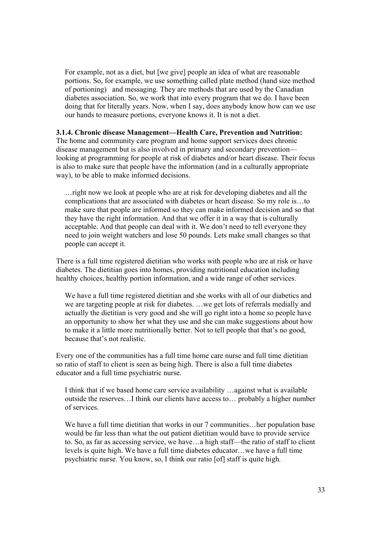For example, not as a diet, but [we give] people an idea of what are reasonable portions. So, for example, we use something called plate method (hand size method of portioning) and messaging. They are methods that are used by the Canadian diabetes association. So, we work that into every program that we do. I have been doing that for literally years. Now, when I say, does anybody know how can we use our hands to measure portions, everyone knows it. It is not a diet.

#### **3.1.4. Chronic disease Management—Health Care, Prevention and Nutrition:**

The home and community care program and home support services does chronic disease management but is also involved in primary and secondary prevention looking at programming for people at risk of diabetes and/or heart disease. Their focus is also to make sure that people have the information (and in a culturally appropriate way), to be able to make informed decisions.

…right now we look at people who are at risk for developing diabetes and all the complications that are associated with diabetes or heart disease. So my role is…to make sure that people are informed so they can make informed decision and so that they have the right information. And that we offer it in a way that is culturally acceptable. And that people can deal with it. We don't need to tell everyone they need to join weight watchers and lose 50 pounds. Lets make small changes so that people can accept it.

There is a full time registered dietitian who works with people who are at risk or have diabetes. The dietitian goes into homes, providing nutritional education including healthy choices, healthy portion information, and a wide range of other services.

We have a full time registered dietitian and she works with all of our diabetics and we are targeting people at risk for diabetes. …we get lots of referrals medially and actually the dietitian is very good and she will go right into a home so people have an opportunity to show her what they use and she can make suggestions about how to make it a little more nutritionally better. Not to tell people that that's no good, because that's not realistic.

Every one of the communities has a full time home care nurse and full time dietitian so ratio of staff to client is seen as being high. There is also a full time diabetes educator and a full time psychiatric nurse.

I think that if we based home care service availability …against what is available outside the reserves…I think our clients have access to… probably a higher number of services.

We have a full time dietitian that works in our 7 communities…her population base would be far less than what the out patient dietitian would have to provide service to. So, as far as accessing service, we have…a high staff—the ratio of staff to client levels is quite high. We have a full time diabetes educator…we have a full time psychiatric nurse. You know, so, I think our ratio [of] staff is quite high.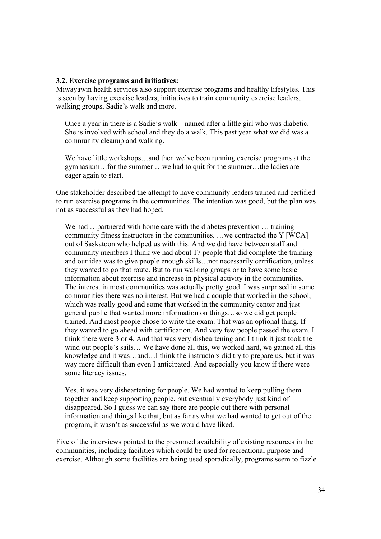#### **3.2. Exercise programs and initiatives:**

Miwayawin health services also support exercise programs and healthy lifestyles. This is seen by having exercise leaders, initiatives to train community exercise leaders, walking groups, Sadie's walk and more.

Once a year in there is a Sadie's walk—named after a little girl who was diabetic. She is involved with school and they do a walk. This past year what we did was a community cleanup and walking.

We have little workshops...and then we've been running exercise programs at the gymnasium…for the summer …we had to quit for the summer…the ladies are eager again to start.

One stakeholder described the attempt to have community leaders trained and certified to run exercise programs in the communities. The intention was good, but the plan was not as successful as they had hoped.

We had …partnered with home care with the diabetes prevention … training community fitness instructors in the communities. …we contracted the Y [WCA] out of Saskatoon who helped us with this. And we did have between staff and community members I think we had about 17 people that did complete the training and our idea was to give people enough skills…not necessarily certification, unless they wanted to go that route. But to run walking groups or to have some basic information about exercise and increase in physical activity in the communities. The interest in most communities was actually pretty good. I was surprised in some communities there was no interest. But we had a couple that worked in the school, which was really good and some that worked in the community center and just general public that wanted more information on things…so we did get people trained. And most people chose to write the exam. That was an optional thing. If they wanted to go ahead with certification. And very few people passed the exam. I think there were 3 or 4. And that was very disheartening and I think it just took the wind out people's sails... We have done all this, we worked hard, we gained all this knowledge and it was…and…I think the instructors did try to prepare us, but it was way more difficult than even I anticipated. And especially you know if there were some literacy issues.

Yes, it was very disheartening for people. We had wanted to keep pulling them together and keep supporting people, but eventually everybody just kind of disappeared. So I guess we can say there are people out there with personal information and things like that, but as far as what we had wanted to get out of the program, it wasn't as successful as we would have liked.

Five of the interviews pointed to the presumed availability of existing resources in the communities, including facilities which could be used for recreational purpose and exercise. Although some facilities are being used sporadically, programs seem to fizzle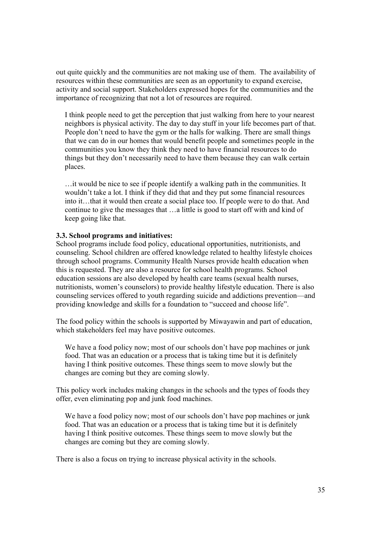out quite quickly and the communities are not making use of them. The availability of resources within these communities are seen as an opportunity to expand exercise, activity and social support. Stakeholders expressed hopes for the communities and the importance of recognizing that not a lot of resources are required.

I think people need to get the perception that just walking from here to your nearest neighbors is physical activity. The day to day stuff in your life becomes part of that. People don't need to have the gym or the halls for walking. There are small things that we can do in our homes that would benefit people and sometimes people in the communities you know they think they need to have financial resources to do things but they don't necessarily need to have them because they can walk certain places.

…it would be nice to see if people identify a walking path in the communities. It wouldn't take a lot. I think if they did that and they put some financial resources into it…that it would then create a social place too. If people were to do that. And continue to give the messages that …a little is good to start off with and kind of keep going like that.

#### **3.3. School programs and initiatives:**

School programs include food policy, educational opportunities, nutritionists, and counseling. School children are offered knowledge related to healthy lifestyle choices through school programs. Community Health Nurses provide health education when this is requested. They are also a resource for school health programs. School education sessions are also developed by health care teams (sexual health nurses, nutritionists, women's counselors) to provide healthy lifestyle education. There is also counseling services offered to youth regarding suicide and addictions prevention—and providing knowledge and skills for a foundation to "succeed and choose life".

The food policy within the schools is supported by Miwayawin and part of education, which stakeholders feel may have positive outcomes.

We have a food policy now; most of our schools don't have pop machines or junk food. That was an education or a process that is taking time but it is definitely having I think positive outcomes. These things seem to move slowly but the changes are coming but they are coming slowly.

This policy work includes making changes in the schools and the types of foods they offer, even eliminating pop and junk food machines.

We have a food policy now; most of our schools don't have pop machines or junk food. That was an education or a process that is taking time but it is definitely having I think positive outcomes. These things seem to move slowly but the changes are coming but they are coming slowly.

There is also a focus on trying to increase physical activity in the schools.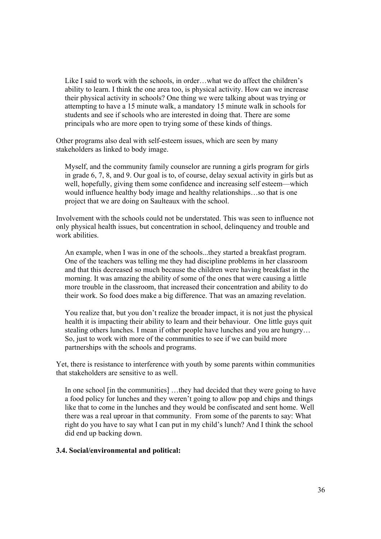Like I said to work with the schools, in order…what we do affect the children's ability to learn. I think the one area too, is physical activity. How can we increase their physical activity in schools? One thing we were talking about was trying or attempting to have a 15 minute walk, a mandatory 15 minute walk in schools for students and see if schools who are interested in doing that. There are some principals who are more open to trying some of these kinds of things.

Other programs also deal with self-esteem issues, which are seen by many stakeholders as linked to body image.

Myself, and the community family counselor are running a girls program for girls in grade 6, 7, 8, and 9. Our goal is to, of course, delay sexual activity in girls but as well, hopefully, giving them some confidence and increasing self esteem—which would influence healthy body image and healthy relationships…so that is one project that we are doing on Saulteaux with the school.

Involvement with the schools could not be understated. This was seen to influence not only physical health issues, but concentration in school, delinquency and trouble and work abilities.

An example, when I was in one of the schools...they started a breakfast program. One of the teachers was telling me they had discipline problems in her classroom and that this decreased so much because the children were having breakfast in the morning. It was amazing the ability of some of the ones that were causing a little more trouble in the classroom, that increased their concentration and ability to do their work. So food does make a big difference. That was an amazing revelation.

You realize that, but you don't realize the broader impact, it is not just the physical health it is impacting their ability to learn and their behaviour. One little guys quit stealing others lunches. I mean if other people have lunches and you are hungry… So, just to work with more of the communities to see if we can build more partnerships with the schools and programs.

Yet, there is resistance to interference with youth by some parents within communities that stakeholders are sensitive to as well.

In one school [in the communities] …they had decided that they were going to have a food policy for lunches and they weren't going to allow pop and chips and things like that to come in the lunches and they would be confiscated and sent home. Well there was a real uproar in that community. From some of the parents to say: What right do you have to say what I can put in my child's lunch? And I think the school did end up backing down.

#### **3.4. Social/environmental and political:**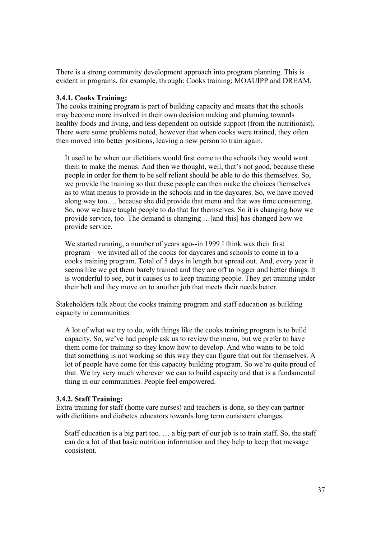There is a strong community development approach into program planning. This is evident in programs, for example, through: Cooks training; MOAUIPP and DREAM.

## **3.4.1. Cooks Training:**

The cooks training program is part of building capacity and means that the schools may become more involved in their own decision making and planning towards healthy foods and living, and less dependent on outside support (from the nutritionist). There were some problems noted, however that when cooks were trained, they often then moved into better positions, leaving a new person to train again.

It used to be when our dietitians would first come to the schools they would want them to make the menus. And then we thought, well, that's not good, because these people in order for them to be self reliant should be able to do this themselves. So, we provide the training so that these people can then make the choices themselves as to what menus to provide in the schools and in the daycares. So, we have moved along way too…. because she did provide that menu and that was time consuming. So, now we have taught people to do that for themselves. So it is changing how we provide service, too. The demand is changing …[and this] has changed how we provide service.

We started running, a number of years ago--in 1999 I think was their first program—we invited all of the cooks for daycares and schools to come in to a cooks training program. Total of 5 days in length but spread out. And, every year it seems like we get them barely trained and they are off to bigger and better things. It is wonderful to see, but it causes us to keep training people. They get training under their belt and they move on to another job that meets their needs better.

Stakeholders talk about the cooks training program and staff education as building capacity in communities:

A lot of what we try to do, with things like the cooks training program is to build capacity. So, we've had people ask us to review the menu, but we prefer to have them come for training so they know how to develop. And who wants to be told that something is not working so this way they can figure that out for themselves. A lot of people have come for this capacity building program. So we're quite proud of that. We try very much wherever we can to build capacity and that is a fundamental thing in our communities. People feel empowered.

#### **3.4.2. Staff Training:**

Extra training for staff (home care nurses) and teachers is done, so they can partner with dietitians and diabetes educators towards long term consistent changes.

Staff education is a big part too. … a big part of our job is to train staff. So, the staff can do a lot of that basic nutrition information and they help to keep that message consistent.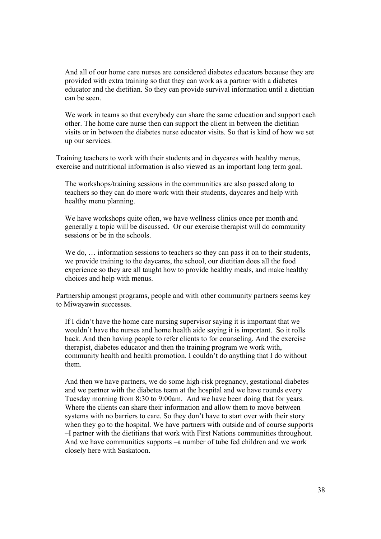And all of our home care nurses are considered diabetes educators because they are provided with extra training so that they can work as a partner with a diabetes educator and the dietitian. So they can provide survival information until a dietitian can be seen.

We work in teams so that everybody can share the same education and support each other. The home care nurse then can support the client in between the dietitian visits or in between the diabetes nurse educator visits. So that is kind of how we set up our services.

Training teachers to work with their students and in daycares with healthy menus, exercise and nutritional information is also viewed as an important long term goal.

The workshops/training sessions in the communities are also passed along to teachers so they can do more work with their students, daycares and help with healthy menu planning.

We have workshops quite often, we have wellness clinics once per month and generally a topic will be discussed. Or our exercise therapist will do community sessions or be in the schools.

We do, ... information sessions to teachers so they can pass it on to their students, we provide training to the daycares, the school, our dietitian does all the food experience so they are all taught how to provide healthy meals, and make healthy choices and help with menus.

Partnership amongst programs, people and with other community partners seems key to Miwayawin successes.

If I didn't have the home care nursing supervisor saying it is important that we wouldn't have the nurses and home health aide saying it is important. So it rolls back. And then having people to refer clients to for counseling. And the exercise therapist, diabetes educator and then the training program we work with, community health and health promotion. I couldn't do anything that I do without them.

And then we have partners, we do some high-risk pregnancy, gestational diabetes and we partner with the diabetes team at the hospital and we have rounds every Tuesday morning from 8:30 to 9:00am. And we have been doing that for years. Where the clients can share their information and allow them to move between systems with no barriers to care. So they don't have to start over with their story when they go to the hospital. We have partners with outside and of course supports –I partner with the dietitians that work with First Nations communities throughout. And we have communities supports –a number of tube fed children and we work closely here with Saskatoon.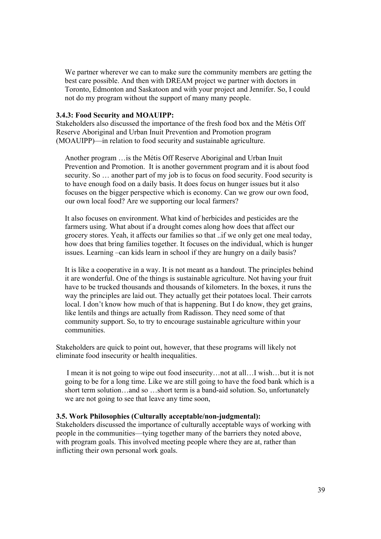We partner wherever we can to make sure the community members are getting the best care possible. And then with DREAM project we partner with doctors in Toronto, Edmonton and Saskatoon and with your project and Jennifer. So, I could not do my program without the support of many many people.

#### **3.4.3: Food Security and MOAUIPP:**

Stakeholders also discussed the importance of the fresh food box and the Métis Off Reserve Aboriginal and Urban Inuit Prevention and Promotion program (MOAUIPP)—in relation to food security and sustainable agriculture.

Another program …is the Métis Off Reserve Aboriginal and Urban Inuit Prevention and Promotion. It is another government program and it is about food security. So … another part of my job is to focus on food security. Food security is to have enough food on a daily basis. It does focus on hunger issues but it also focuses on the bigger perspective which is economy. Can we grow our own food, our own local food? Are we supporting our local farmers?

It also focuses on environment. What kind of herbicides and pesticides are the farmers using. What about if a drought comes along how does that affect our grocery stores. Yeah, it affects our families so that ..if we only get one meal today, how does that bring families together. It focuses on the individual, which is hunger issues. Learning –can kids learn in school if they are hungry on a daily basis?

It is like a cooperative in a way. It is not meant as a handout. The principles behind it are wonderful. One of the things is sustainable agriculture. Not having your fruit have to be trucked thousands and thousands of kilometers. In the boxes, it runs the way the principles are laid out. They actually get their potatoes local. Their carrots local. I don't know how much of that is happening. But I do know, they get grains, like lentils and things are actually from Radisson. They need some of that community support. So, to try to encourage sustainable agriculture within your communities.

Stakeholders are quick to point out, however, that these programs will likely not eliminate food insecurity or health inequalities.

 I mean it is not going to wipe out food insecurity…not at all…I wish…but it is not going to be for a long time. Like we are still going to have the food bank which is a short term solution…and so …short term is a band-aid solution. So, unfortunately we are not going to see that leave any time soon,

#### **3.5. Work Philosophies (Culturally acceptable/non-judgmental):**

Stakeholders discussed the importance of culturally acceptable ways of working with people in the communities—tying together many of the barriers they noted above, with program goals. This involved meeting people where they are at, rather than inflicting their own personal work goals.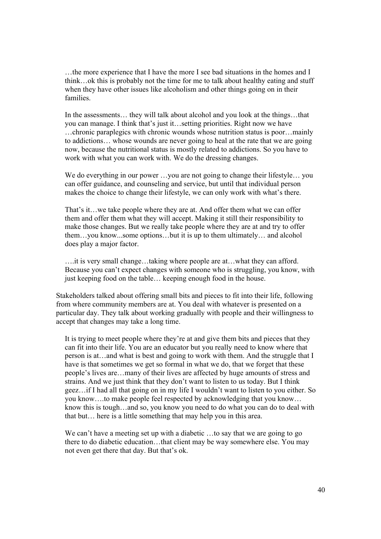…the more experience that I have the more I see bad situations in the homes and I think…ok this is probably not the time for me to talk about healthy eating and stuff when they have other issues like alcoholism and other things going on in their families.

In the assessments… they will talk about alcohol and you look at the things…that you can manage. I think that's just it…setting priorities. Right now we have …chronic paraplegics with chronic wounds whose nutrition status is poor…mainly to addictions… whose wounds are never going to heal at the rate that we are going now, because the nutritional status is mostly related to addictions. So you have to work with what you can work with. We do the dressing changes.

We do everything in our power ...you are not going to change their lifestyle... you can offer guidance, and counseling and service, but until that individual person makes the choice to change their lifestyle, we can only work with what's there.

That's it…we take people where they are at. And offer them what we can offer them and offer them what they will accept. Making it still their responsibility to make those changes. But we really take people where they are at and try to offer them…you know...some options…but it is up to them ultimately… and alcohol does play a major factor.

….it is very small change…taking where people are at…what they can afford. Because you can't expect changes with someone who is struggling, you know, with just keeping food on the table… keeping enough food in the house.

Stakeholders talked about offering small bits and pieces to fit into their life, following from where community members are at. You deal with whatever is presented on a particular day. They talk about working gradually with people and their willingness to accept that changes may take a long time.

It is trying to meet people where they're at and give them bits and pieces that they can fit into their life. You are an educator but you really need to know where that person is at…and what is best and going to work with them. And the struggle that I have is that sometimes we get so formal in what we do, that we forget that these people's lives are…many of their lives are affected by huge amounts of stress and strains. And we just think that they don't want to listen to us today. But I think geez…if I had all that going on in my life I wouldn't want to listen to you either. So you know….to make people feel respected by acknowledging that you know… know this is tough…and so, you know you need to do what you can do to deal with that but… here is a little something that may help you in this area.

We can't have a meeting set up with a diabetic ...to say that we are going to go there to do diabetic education…that client may be way somewhere else. You may not even get there that day. But that's ok.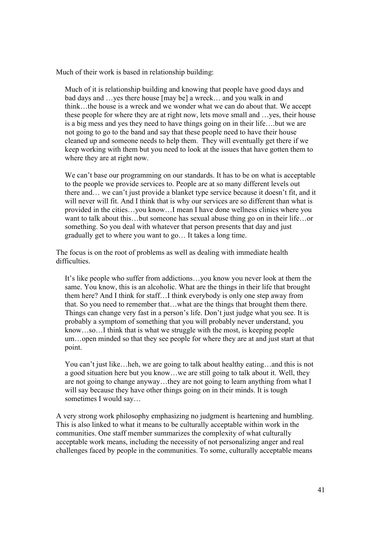Much of their work is based in relationship building:

Much of it is relationship building and knowing that people have good days and bad days and …yes there house [may be] a wreck… and you walk in and think…the house is a wreck and we wonder what we can do about that. We accept these people for where they are at right now, lets move small and …yes, their house is a big mess and yes they need to have things going on in their life….but we are not going to go to the band and say that these people need to have their house cleaned up and someone needs to help them. They will eventually get there if we keep working with them but you need to look at the issues that have gotten them to where they are at right now.

We can't base our programming on our standards. It has to be on what is acceptable to the people we provide services to. People are at so many different levels out there and… we can't just provide a blanket type service because it doesn't fit, and it will never will fit. And I think that is why our services are so different than what is provided in the cities…you know…I mean I have done wellness clinics where you want to talk about this…but someone has sexual abuse thing go on in their life…or something. So you deal with whatever that person presents that day and just gradually get to where you want to go… It takes a long time.

The focus is on the root of problems as well as dealing with immediate health difficulties.

It's like people who suffer from addictions…you know you never look at them the same. You know, this is an alcoholic. What are the things in their life that brought them here? And I think for staff…I think everybody is only one step away from that. So you need to remember that…what are the things that brought them there. Things can change very fast in a person's life. Don't just judge what you see. It is probably a symptom of something that you will probably never understand, you know…so…I think that is what we struggle with the most, is keeping people um…open minded so that they see people for where they are at and just start at that point.

You can't just like…heh, we are going to talk about healthy eating…and this is not a good situation here but you know…we are still going to talk about it. Well, they are not going to change anyway…they are not going to learn anything from what I will say because they have other things going on in their minds. It is tough sometimes I would say…

A very strong work philosophy emphasizing no judgment is heartening and humbling. This is also linked to what it means to be culturally acceptable within work in the communities. One staff member summarizes the complexity of what culturally acceptable work means, including the necessity of not personalizing anger and real challenges faced by people in the communities. To some, culturally acceptable means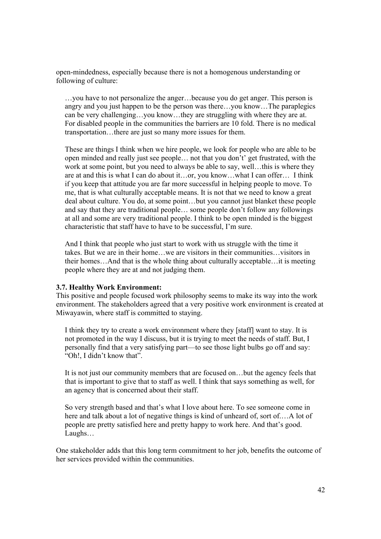open-mindedness, especially because there is not a homogenous understanding or following of culture:

…you have to not personalize the anger…because you do get anger. This person is angry and you just happen to be the person was there…you know…The paraplegics can be very challenging…you know…they are struggling with where they are at. For disabled people in the communities the barriers are 10 fold. There is no medical transportation…there are just so many more issues for them.

These are things I think when we hire people, we look for people who are able to be open minded and really just see people… not that you don't' get frustrated, with the work at some point, but you need to always be able to say, well... this is where they are at and this is what I can do about it…or, you know…what I can offer… I think if you keep that attitude you are far more successful in helping people to move. To me, that is what culturally acceptable means. It is not that we need to know a great deal about culture. You do, at some point…but you cannot just blanket these people and say that they are traditional people… some people don't follow any followings at all and some are very traditional people. I think to be open minded is the biggest characteristic that staff have to have to be successful, I'm sure.

And I think that people who just start to work with us struggle with the time it takes. But we are in their home…we are visitors in their communities…visitors in their homes…And that is the whole thing about culturally acceptable…it is meeting people where they are at and not judging them.

#### **3.7. Healthy Work Environment:**

This positive and people focused work philosophy seems to make its way into the work environment. The stakeholders agreed that a very positive work environment is created at Miwayawin, where staff is committed to staying.

I think they try to create a work environment where they [staff] want to stay. It is not promoted in the way I discuss, but it is trying to meet the needs of staff. But, I personally find that a very satisfying part—to see those light bulbs go off and say: "Oh!, I didn't know that".

It is not just our community members that are focused on…but the agency feels that that is important to give that to staff as well. I think that says something as well, for an agency that is concerned about their staff.

So very strength based and that's what I love about here. To see someone come in here and talk about a lot of negative things is kind of unheard of, sort of.…A lot of people are pretty satisfied here and pretty happy to work here. And that's good. Laughs…

One stakeholder adds that this long term commitment to her job, benefits the outcome of her services provided within the communities.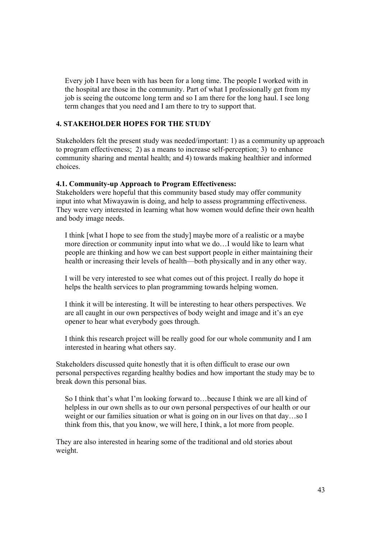Every job I have been with has been for a long time. The people I worked with in the hospital are those in the community. Part of what I professionally get from my job is seeing the outcome long term and so I am there for the long haul. I see long term changes that you need and I am there to try to support that.

## **4. STAKEHOLDER HOPES FOR THE STUDY**

Stakeholders felt the present study was needed/important: 1) as a community up approach to program effectiveness; 2) as a means to increase self-perception; 3) to enhance community sharing and mental health; and 4) towards making healthier and informed choices.

## **4.1. Community-up Approach to Program Effectiveness:**

Stakeholders were hopeful that this community based study may offer community input into what Miwayawin is doing, and help to assess programming effectiveness. They were very interested in learning what how women would define their own health and body image needs.

I think [what I hope to see from the study] maybe more of a realistic or a maybe more direction or community input into what we do…I would like to learn what people are thinking and how we can best support people in either maintaining their health or increasing their levels of health—both physically and in any other way.

I will be very interested to see what comes out of this project. I really do hope it helps the health services to plan programming towards helping women.

I think it will be interesting. It will be interesting to hear others perspectives. We are all caught in our own perspectives of body weight and image and it's an eye opener to hear what everybody goes through.

I think this research project will be really good for our whole community and I am interested in hearing what others say.

Stakeholders discussed quite honestly that it is often difficult to erase our own personal perspectives regarding healthy bodies and how important the study may be to break down this personal bias.

So I think that's what I'm looking forward to…because I think we are all kind of helpless in our own shells as to our own personal perspectives of our health or our weight or our families situation or what is going on in our lives on that day…so I think from this, that you know, we will here, I think, a lot more from people.

They are also interested in hearing some of the traditional and old stories about weight.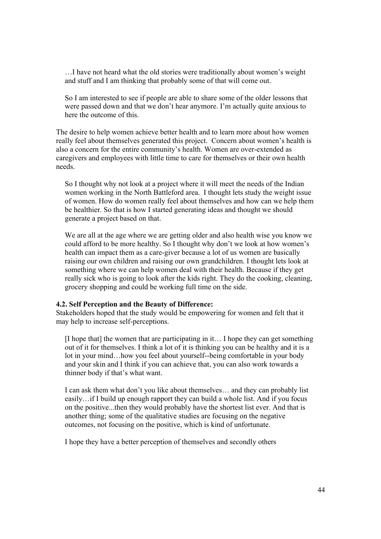…I have not heard what the old stories were traditionally about women's weight and stuff and I am thinking that probably some of that will come out.

So I am interested to see if people are able to share some of the older lessons that were passed down and that we don't hear anymore. I'm actually quite anxious to here the outcome of this.

The desire to help women achieve better health and to learn more about how women really feel about themselves generated this project. Concern about women's health is also a concern for the entire community's health. Women are over-extended as caregivers and employees with little time to care for themselves or their own health needs.

So I thought why not look at a project where it will meet the needs of the Indian women working in the North Battleford area. I thought lets study the weight issue of women. How do women really feel about themselves and how can we help them be healthier. So that is how I started generating ideas and thought we should generate a project based on that.

We are all at the age where we are getting older and also health wise you know we could afford to be more healthy. So I thought why don't we look at how women's health can impact them as a care-giver because a lot of us women are basically raising our own children and raising our own grandchildren. I thought lets look at something where we can help women deal with their health. Because if they get really sick who is going to look after the kids right. They do the cooking, cleaning, grocery shopping and could be working full time on the side.

#### **4.2. Self Perception and the Beauty of Difference:**

Stakeholders hoped that the study would be empowering for women and felt that it may help to increase self-perceptions.

[I hope that] the women that are participating in it… I hope they can get something out of it for themselves. I think a lot of it is thinking you can be healthy and it is a lot in your mind…how you feel about yourself--being comfortable in your body and your skin and I think if you can achieve that, you can also work towards a thinner body if that's what want.

I can ask them what don't you like about themselves… and they can probably list easily…if I build up enough rapport they can build a whole list. And if you focus on the positive...then they would probably have the shortest list ever. And that is another thing; some of the qualitative studies are focusing on the negative outcomes, not focusing on the positive, which is kind of unfortunate.

I hope they have a better perception of themselves and secondly others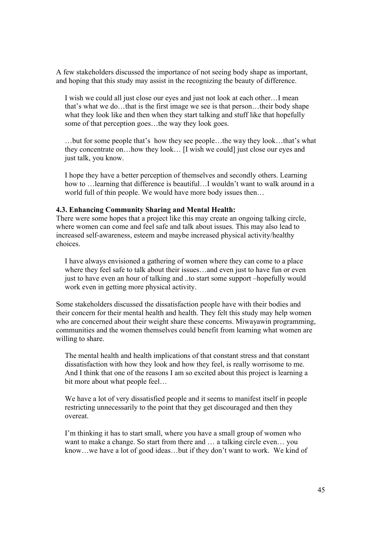A few stakeholders discussed the importance of not seeing body shape as important, and hoping that this study may assist in the recognizing the beauty of difference.

I wish we could all just close our eyes and just not look at each other…I mean that's what we do…that is the first image we see is that person…their body shape what they look like and then when they start talking and stuff like that hopefully some of that perception goes…the way they look goes.

…but for some people that's how they see people…the way they look…that's what they concentrate on…how they look… [I wish we could] just close our eyes and just talk, you know.

I hope they have a better perception of themselves and secondly others. Learning how to …learning that difference is beautiful…I wouldn't want to walk around in a world full of thin people. We would have more body issues then…

#### **4.3. Enhancing Community Sharing and Mental Health:**

There were some hopes that a project like this may create an ongoing talking circle, where women can come and feel safe and talk about issues. This may also lead to increased self-awareness, esteem and maybe increased physical activity/healthy choices.

I have always envisioned a gathering of women where they can come to a place where they feel safe to talk about their issues...and even just to have fun or even just to have even an hour of talking and ..to start some support –hopefully would work even in getting more physical activity.

Some stakeholders discussed the dissatisfaction people have with their bodies and their concern for their mental health and health. They felt this study may help women who are concerned about their weight share these concerns. Miwayawin programming, communities and the women themselves could benefit from learning what women are willing to share.

The mental health and health implications of that constant stress and that constant dissatisfaction with how they look and how they feel, is really worrisome to me. And I think that one of the reasons I am so excited about this project is learning a bit more about what people feel…

We have a lot of very dissatisfied people and it seems to manifest itself in people restricting unnecessarily to the point that they get discouraged and then they overeat.

I'm thinking it has to start small, where you have a small group of women who want to make a change. So start from there and … a talking circle even… you know…we have a lot of good ideas…but if they don't want to work. We kind of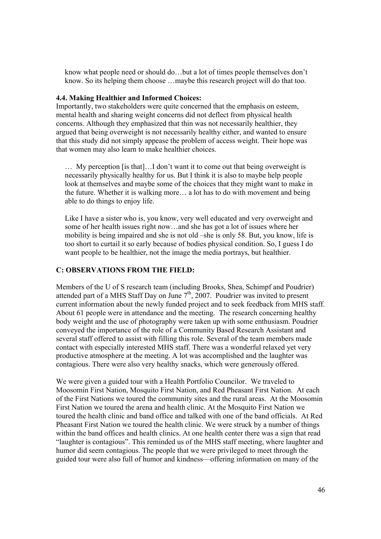know what people need or should do…but a lot of times people themselves don't know. So its helping them choose …maybe this research project will do that too.

#### **4.4. Making Healthier and Informed Choices:**

Importantly, two stakeholders were quite concerned that the emphasis on esteem, mental health and sharing weight concerns did not deflect from physical health concerns. Although they emphasized that thin was not necessarily healthier, they argued that being overweight is not necessarily healthy either, and wanted to ensure that this study did not simply appease the problem of access weight. Their hope was that women may also learn to make healthier choices.

… My perception [is that]…I don't want it to come out that being overweight is necessarily physically healthy for us. But I think it is also to maybe help people look at themselves and maybe some of the choices that they might want to make in the future. Whether it is walking more… a lot has to do with movement and being able to do things to enjoy life.

Like I have a sister who is, you know, very well educated and very overweight and some of her health issues right now…and she has got a lot of issues where her mobility is being impaired and she is not old –she is only 58. But, you know, life is too short to curtail it so early because of bodies physical condition. So, I guess I do want people to be healthier, not the image the media portrays, but healthier.

## **C: OBSERVATIONS FROM THE FIELD:**

Members of the U of S research team (including Brooks, Shea, Schimpf and Poudrier) attended part of a MHS Staff Day on June  $7<sup>th</sup>$ , 2007. Poudrier was invited to present current information about the newly funded project and to seek feedback from MHS staff. About 61 people were in attendance and the meeting. The research concerning healthy body weight and the use of photography were taken up with some enthusiasm. Poudrier conveyed the importance of the role of a Community Based Research Assistant and several staff offered to assist with filling this role. Several of the team members made contact with especially interested MHS staff. There was a wonderful relaxed yet very productive atmosphere at the meeting. A lot was accomplished and the laughter was contagious. There were also very healthy snacks, which were generously offered.

We were given a guided tour with a Health Portfolio Councilor. We traveled to Moosomin First Nation, Mosquito First Nation, and Red Pheasant First Nation. At each of the First Nations we toured the community sites and the rural areas. At the Moosomin First Nation we toured the arena and health clinic. At the Mosquito First Nation we toured the health clinic and band office and talked with one of the band officials. At Red Pheasant First Nation we toured the health clinic. We were struck by a number of things within the band offices and health clinics. At one health center there was a sign that read "laughter is contagious". This reminded us of the MHS staff meeting, where laughter and humor did seem contagious. The people that we were privileged to meet through the guided tour were also full of humor and kindness—offering information on many of the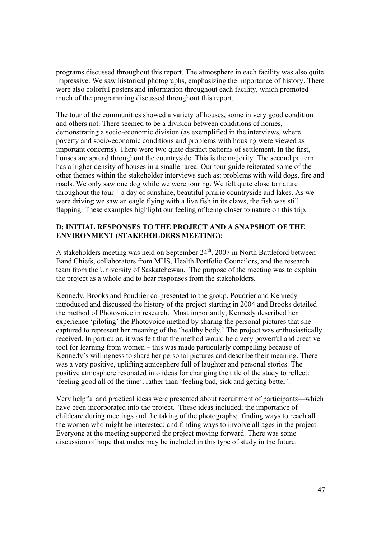programs discussed throughout this report. The atmosphere in each facility was also quite impressive. We saw historical photographs, emphasizing the importance of history. There were also colorful posters and information throughout each facility, which promoted much of the programming discussed throughout this report.

The tour of the communities showed a variety of houses, some in very good condition and others not. There seemed to be a division between conditions of homes, demonstrating a socio-economic division (as exemplified in the interviews, where poverty and socio-economic conditions and problems with housing were viewed as important concerns). There were two quite distinct patterns of settlement. In the first, houses are spread throughout the countryside. This is the majority. The second pattern has a higher density of houses in a smaller area. Our tour guide reiterated some of the other themes within the stakeholder interviews such as: problems with wild dogs, fire and roads. We only saw one dog while we were touring. We felt quite close to nature throughout the tour—a day of sunshine, beautiful prairie countryside and lakes. As we were driving we saw an eagle flying with a live fish in its claws, the fish was still flapping. These examples highlight our feeling of being closer to nature on this trip.

## **D: INITIAL RESPONSES TO THE PROJECT AND A SNAPSHOT OF THE ENVIRONMENT (STAKEHOLDERS MEETING):**

A stakeholders meeting was held on September  $24<sup>th</sup>$ , 2007 in North Battleford between Band Chiefs, collaborators from MHS, Health Portfolio Councilors, and the research team from the University of Saskatchewan. The purpose of the meeting was to explain the project as a whole and to hear responses from the stakeholders.

Kennedy, Brooks and Poudrier co-presented to the group. Poudrier and Kennedy introduced and discussed the history of the project starting in 2004 and Brooks detailed the method of Photovoice in research. Most importantly, Kennedy described her experience 'piloting' the Photovoice method by sharing the personal pictures that she captured to represent her meaning of the 'healthy body.' The project was enthusiastically received. In particular, it was felt that the method would be a very powerful and creative tool for learning from women – this was made particularly compelling because of Kennedy's willingness to share her personal pictures and describe their meaning. There was a very positive, uplifting atmosphere full of laughter and personal stories. The positive atmosphere resonated into ideas for changing the title of the study to reflect: 'feeling good all of the time', rather than 'feeling bad, sick and getting better'.

Very helpful and practical ideas were presented about recruitment of participants—which have been incorporated into the project. These ideas included; the importance of childcare during meetings and the taking of the photographs; finding ways to reach all the women who might be interested; and finding ways to involve all ages in the project. Everyone at the meeting supported the project moving forward. There was some discussion of hope that males may be included in this type of study in the future.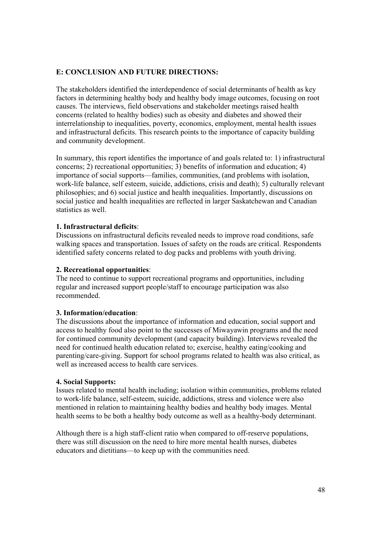## **E: CONCLUSION AND FUTURE DIRECTIONS:**

The stakeholders identified the interdependence of social determinants of health as key factors in determining healthy body and healthy body image outcomes, focusing on root causes. The interviews, field observations and stakeholder meetings raised health concerns (related to healthy bodies) such as obesity and diabetes and showed their interrelationship to inequalities, poverty, economics, employment, mental health issues and infrastructural deficits. This research points to the importance of capacity building and community development.

In summary, this report identifies the importance of and goals related to: 1) infrastructural concerns; 2) recreational opportunities; 3) benefits of information and education; 4) importance of social supports—families, communities, (and problems with isolation, work-life balance, self esteem, suicide, addictions, crisis and death); 5) culturally relevant philosophies; and 6) social justice and health inequalities. Importantly, discussions on social justice and health inequalities are reflected in larger Saskatchewan and Canadian statistics as well.

## **1. Infrastructural deficits**:

Discussions on infrastructural deficits revealed needs to improve road conditions, safe walking spaces and transportation. Issues of safety on the roads are critical. Respondents identified safety concerns related to dog packs and problems with youth driving.

## **2. Recreational opportunities**:

The need to continue to support recreational programs and opportunities, including regular and increased support people/staff to encourage participation was also recommended.

## **3. Information/education**:

The discussions about the importance of information and education, social support and access to healthy food also point to the successes of Miwayawin programs and the need for continued community development (and capacity building). Interviews revealed the need for continued health education related to; exercise, healthy eating/cooking and parenting/care-giving. Support for school programs related to health was also critical, as well as increased access to health care services.

## **4. Social Supports:**

Issues related to mental health including; isolation within communities, problems related to work-life balance, self-esteem, suicide, addictions, stress and violence were also mentioned in relation to maintaining healthy bodies and healthy body images. Mental health seems to be both a healthy body outcome as well as a healthy-body determinant.

Although there is a high staff-client ratio when compared to off-reserve populations, there was still discussion on the need to hire more mental health nurses, diabetes educators and dietitians—to keep up with the communities need.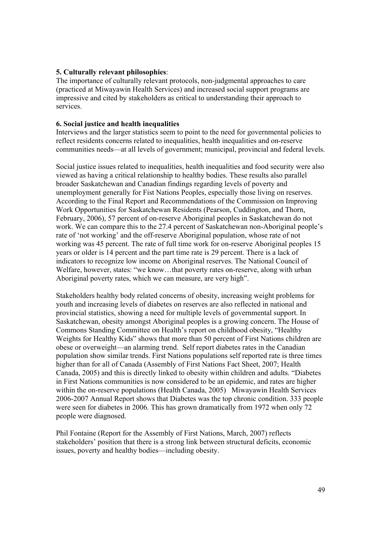### **5. Culturally relevant philosophies**:

The importance of culturally relevant protocols, non-judgmental approaches to care (practiced at Miwayawin Health Services) and increased social support programs are impressive and cited by stakeholders as critical to understanding their approach to services.

#### **6. Social justice and health inequalities**

Interviews and the larger statistics seem to point to the need for governmental policies to reflect residents concerns related to inequalities, health inequalities and on-reserve communities needs—at all levels of government; municipal, provincial and federal levels.

Social justice issues related to inequalities, health inequalities and food security were also viewed as having a critical relationship to healthy bodies. These results also parallel broader Saskatchewan and Canadian findings regarding levels of poverty and unemployment generally for Fist Nations Peoples, especially those living on reserves. According to the Final Report and Recommendations of the Commission on Improving Work Opportunities for Saskatchewan Residents (Pearson, Cuddington, and Thorn, February, 2006), 57 percent of on-reserve Aboriginal peoples in Saskatchewan do not work. We can compare this to the 27.4 percent of Saskatchewan non-Aboriginal people's rate of 'not working' and the off-reserve Aboriginal population, whose rate of not working was 45 percent. The rate of full time work for on-reserve Aboriginal peoples 15 years or older is 14 percent and the part time rate is 29 percent. There is a lack of indicators to recognize low income on Aboriginal reserves. The National Council of Welfare, however, states: "we know...that poverty rates on-reserve, along with urban Aboriginal poverty rates, which we can measure, are very high".

Stakeholders healthy body related concerns of obesity, increasing weight problems for youth and increasing levels of diabetes on reserves are also reflected in national and provincial statistics, showing a need for multiple levels of governmental support. In Saskatchewan, obesity amongst Aboriginal peoples is a growing concern. The House of Commons Standing Committee on Health's report on childhood obesity, "Healthy Weights for Healthy Kids" shows that more than 50 percent of First Nations children are obese or overweight—an alarming trend. Self report diabetes rates in the Canadian population show similar trends. First Nations populations self reported rate is three times higher than for all of Canada (Assembly of First Nations Fact Sheet, 2007; Health Canada, 2005) and this is directly linked to obesity within children and adults. "Diabetes in First Nations communities is now considered to be an epidemic, and rates are higher within the on-reserve populations (Health Canada, 2005) Miwayawin Health Services 2006-2007 Annual Report shows that Diabetes was the top chronic condition. 333 people were seen for diabetes in 2006. This has grown dramatically from 1972 when only 72 people were diagnosed.

Phil Fontaine (Report for the Assembly of First Nations, March, 2007) reflects stakeholders' position that there is a strong link between structural deficits, economic issues, poverty and healthy bodies—including obesity.